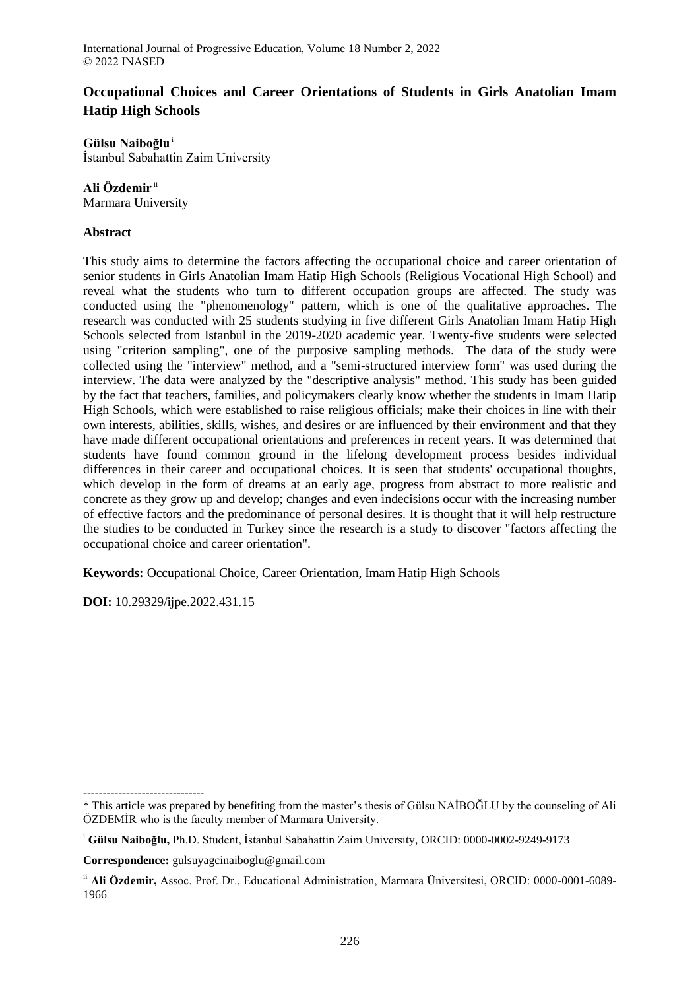# **Occupational Choices and Career Orientations of Students in Girls Anatolian Imam Hatip High Schools**

**Gülsu Naiboğlu**<sup>i</sup> İstanbul Sabahattin Zaim University

## **Ali Özdemir** ii

Marmara University

## **Abstract**

This study aims to determine the factors affecting the occupational choice and career orientation of senior students in Girls Anatolian Imam Hatip High Schools (Religious Vocational High School) and reveal what the students who turn to different occupation groups are affected. The study was conducted using the "phenomenology" pattern, which is one of the qualitative approaches. The research was conducted with 25 students studying in five different Girls Anatolian Imam Hatip High Schools selected from Istanbul in the 2019-2020 academic year. Twenty-five students were selected using "criterion sampling", one of the purposive sampling methods. The data of the study were collected using the "interview" method, and a "semi-structured interview form" was used during the interview. The data were analyzed by the "descriptive analysis" method. This study has been guided by the fact that teachers, families, and policymakers clearly know whether the students in Imam Hatip High Schools, which were established to raise religious officials; make their choices in line with their own interests, abilities, skills, wishes, and desires or are influenced by their environment and that they have made different occupational orientations and preferences in recent years. It was determined that students have found common ground in the lifelong development process besides individual differences in their career and occupational choices. It is seen that students' occupational thoughts, which develop in the form of dreams at an early age, progress from abstract to more realistic and concrete as they grow up and develop; changes and even indecisions occur with the increasing number of effective factors and the predominance of personal desires. It is thought that it will help restructure the studies to be conducted in Turkey since the research is a study to discover "factors affecting the occupational choice and career orientation".

**Keywords:** Occupational Choice, Career Orientation, Imam Hatip High Schools

**DOI:** 10.29329/ijpe.2022.431.15

**Correspondence:** gulsuyagcinaiboglu@gmail.com

<sup>-------------------------------</sup> \* This article was prepared by benefiting from the master's thesis of Gülsu NAİBOĞLU by the counseling of Ali ÖZDEMİR who is the faculty member of Marmara University.

<sup>i</sup> **Gülsu Naiboğlu,** Ph.D. Student, İstanbul Sabahattin Zaim University, ORCID: 0000-0002-9249-9173

ii **Ali Özdemir,** Assoc. Prof. Dr., Educational Administration, Marmara Üniversitesi, ORCID: 0000-0001-6089- 1966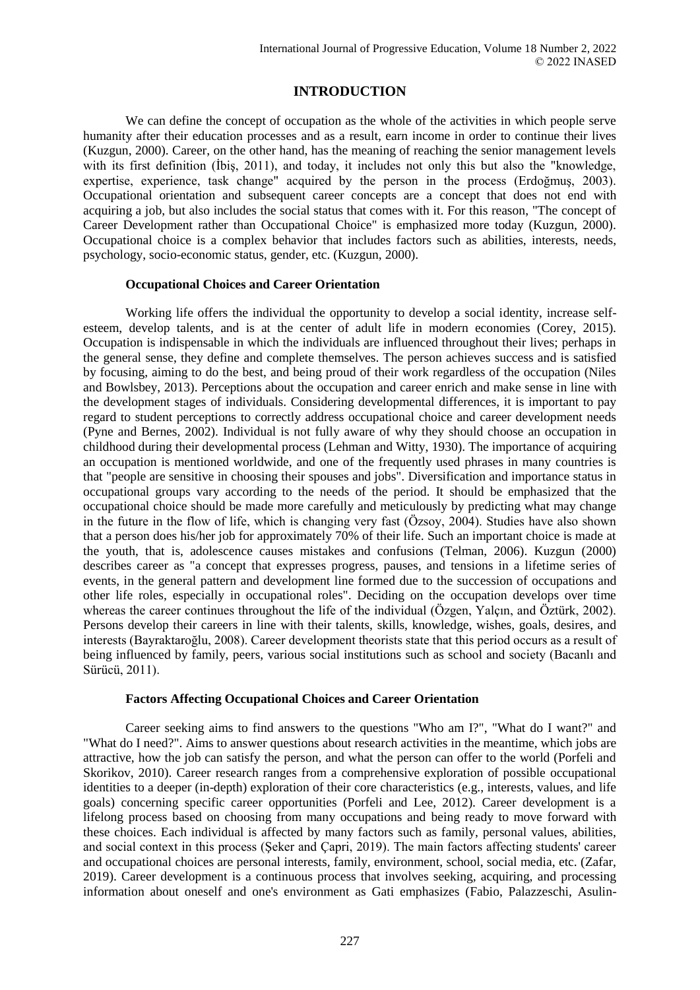## **INTRODUCTION**

We can define the concept of occupation as the whole of the activities in which people serve humanity after their education processes and as a result, earn income in order to continue their lives (Kuzgun, 2000). Career, on the other hand, has the meaning of reaching the senior management levels with its first definition (Ibis, 2011), and today, it includes not only this but also the "knowledge, expertise, experience, task change" acquired by the person in the process (Erdoğmuş, 2003). Occupational orientation and subsequent career concepts are a concept that does not end with acquiring a job, but also includes the social status that comes with it. For this reason, "The concept of Career Development rather than Occupational Choice" is emphasized more today (Kuzgun, 2000). Occupational choice is a complex behavior that includes factors such as abilities, interests, needs, psychology, socio-economic status, gender, etc. (Kuzgun, 2000).

## **Occupational Choices and Career Orientation**

Working life offers the individual the opportunity to develop a social identity, increase selfesteem, develop talents, and is at the center of adult life in modern economies (Corey, 2015). Occupation is indispensable in which the individuals are influenced throughout their lives; perhaps in the general sense, they define and complete themselves. The person achieves success and is satisfied by focusing, aiming to do the best, and being proud of their work regardless of the occupation (Niles and Bowlsbey, 2013). Perceptions about the occupation and career enrich and make sense in line with the development stages of individuals. Considering developmental differences, it is important to pay regard to student perceptions to correctly address occupational choice and career development needs (Pyne and Bernes, 2002). Individual is not fully aware of why they should choose an occupation in childhood during their developmental process (Lehman and Witty, 1930). The importance of acquiring an occupation is mentioned worldwide, and one of the frequently used phrases in many countries is that "people are sensitive in choosing their spouses and jobs". Diversification and importance status in occupational groups vary according to the needs of the period. It should be emphasized that the occupational choice should be made more carefully and meticulously by predicting what may change in the future in the flow of life, which is changing very fast (Özsoy, 2004). Studies have also shown that a person does his/her job for approximately 70% of their life. Such an important choice is made at the youth, that is, adolescence causes mistakes and confusions (Telman, 2006). Kuzgun (2000) describes career as "a concept that expresses progress, pauses, and tensions in a lifetime series of events, in the general pattern and development line formed due to the succession of occupations and other life roles, especially in occupational roles". Deciding on the occupation develops over time whereas the career continues throughout the life of the individual (Özgen, Yalçın, and Öztürk, 2002). Persons develop their careers in line with their talents, skills, knowledge, wishes, goals, desires, and interests (Bayraktaroğlu, 2008). Career development theorists state that this period occurs as a result of being influenced by family, peers, various social institutions such as school and society (Bacanlı and Sürücü, 2011).

## **Factors Affecting Occupational Choices and Career Orientation**

Career seeking aims to find answers to the questions "Who am I?", "What do I want?" and "What do I need?". Aims to answer questions about research activities in the meantime, which jobs are attractive, how the job can satisfy the person, and what the person can offer to the world (Porfeli and Skorikov, 2010). Career research ranges from a comprehensive exploration of possible occupational identities to a deeper (in-depth) exploration of their core characteristics (e.g., interests, values, and life goals) concerning specific career opportunities (Porfeli and Lee, 2012). Career development is a lifelong process based on choosing from many occupations and being ready to move forward with these choices. Each individual is affected by many factors such as family, personal values, abilities, and social context in this process (Şeker and Çapri, 2019). The main factors affecting students' career and occupational choices are personal interests, family, environment, school, social media, etc. (Zafar, 2019). Career development is a continuous process that involves seeking, acquiring, and processing information about oneself and one's environment as Gati emphasizes (Fabio, Palazzeschi, Asulin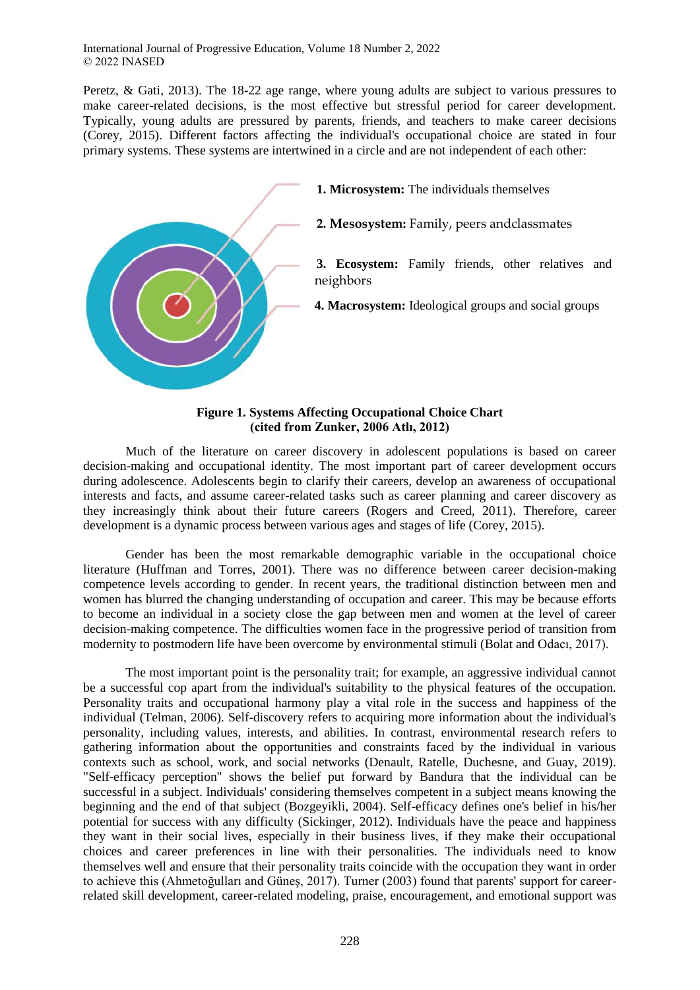Peretz, & Gati, 2013). The 18-22 age range, where young adults are subject to various pressures to make career-related decisions, is the most effective but stressful period for career development. Typically, young adults are pressured by parents, friends, and teachers to make career decisions (Corey, 2015). Different factors affecting the individual's occupational choice are stated in four primary systems. These systems are intertwined in a circle and are not independent of each other:



#### **Figure 1. Systems Affecting Occupational Choice Chart (cited from Zunker, 2006 Atlı, 2012)**

Much of the literature on career discovery in adolescent populations is based on career decision-making and occupational identity. The most important part of career development occurs during adolescence. Adolescents begin to clarify their careers, develop an awareness of occupational interests and facts, and assume career-related tasks such as career planning and career discovery as they increasingly think about their future careers (Rogers and Creed, 2011). Therefore, career development is a dynamic process between various ages and stages of life (Corey, 2015).

Gender has been the most remarkable demographic variable in the occupational choice literature (Huffman and Torres, 2001). There was no difference between career decision-making competence levels according to gender. In recent years, the traditional distinction between men and women has blurred the changing understanding of occupation and career. This may be because efforts to become an individual in a society close the gap between men and women at the level of career decision-making competence. The difficulties women face in the progressive period of transition from modernity to postmodern life have been overcome by environmental stimuli (Bolat and Odacı, 2017).

The most important point is the personality trait; for example, an aggressive individual cannot be a successful cop apart from the individual's suitability to the physical features of the occupation. Personality traits and occupational harmony play a vital role in the success and happiness of the individual (Telman, 2006). Self-discovery refers to acquiring more information about the individual's personality, including values, interests, and abilities. In contrast, environmental research refers to gathering information about the opportunities and constraints faced by the individual in various contexts such as school, work, and social networks (Denault, Ratelle, Duchesne, and Guay, 2019). "Self-efficacy perception" shows the belief put forward by Bandura that the individual can be successful in a subject. Individuals' considering themselves competent in a subject means knowing the beginning and the end of that subject (Bozgeyikli, 2004). Self-efficacy defines one's belief in his/her potential for success with any difficulty (Sickinger, 2012). Individuals have the peace and happiness they want in their social lives, especially in their business lives, if they make their occupational choices and career preferences in line with their personalities. The individuals need to know themselves well and ensure that their personality traits coincide with the occupation they want in order to achieve this (Ahmetoğulları and Güneş, 2017). Turner (2003) found that parents' support for careerrelated skill development, career-related modeling, praise, encouragement, and emotional support was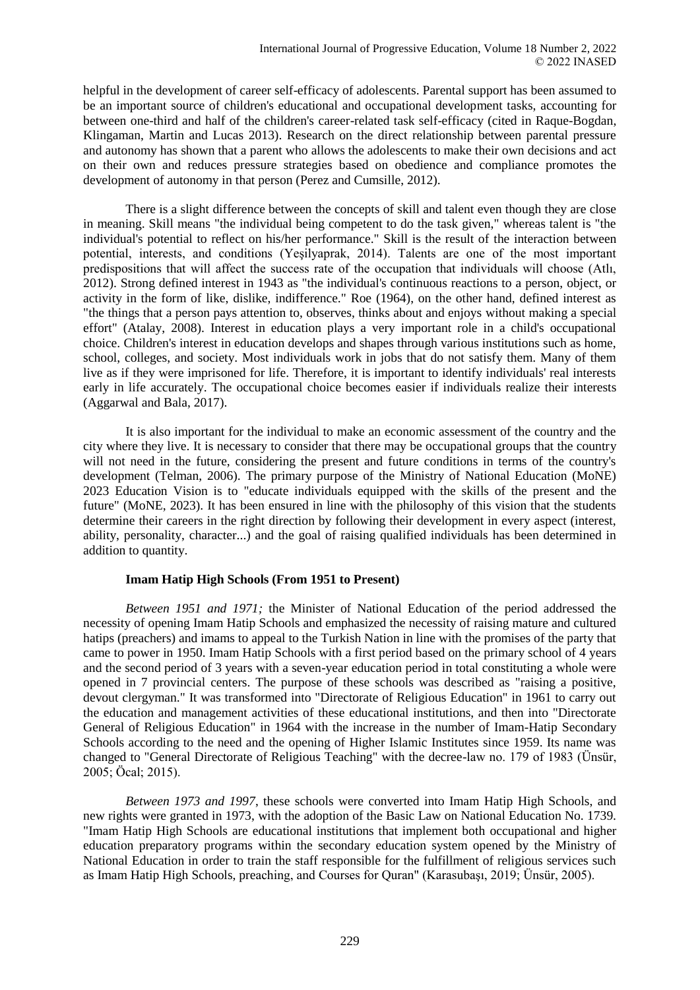helpful in the development of career self-efficacy of adolescents. Parental support has been assumed to be an important source of children's educational and occupational development tasks, accounting for between one-third and half of the children's career-related task self-efficacy (cited in Raque-Bogdan, Klingaman, Martin and Lucas 2013). Research on the direct relationship between parental pressure and autonomy has shown that a parent who allows the adolescents to make their own decisions and act on their own and reduces pressure strategies based on obedience and compliance promotes the development of autonomy in that person (Perez and Cumsille, 2012).

There is a slight difference between the concepts of skill and talent even though they are close in meaning. Skill means "the individual being competent to do the task given," whereas talent is "the individual's potential to reflect on his/her performance." Skill is the result of the interaction between potential, interests, and conditions (Yeşilyaprak, 2014). Talents are one of the most important predispositions that will affect the success rate of the occupation that individuals will choose (Atlı, 2012). Strong defined interest in 1943 as "the individual's continuous reactions to a person, object, or activity in the form of like, dislike, indifference." Roe (1964), on the other hand, defined interest as "the things that a person pays attention to, observes, thinks about and enjoys without making a special effort" (Atalay, 2008). Interest in education plays a very important role in a child's occupational choice. Children's interest in education develops and shapes through various institutions such as home, school, colleges, and society. Most individuals work in jobs that do not satisfy them. Many of them live as if they were imprisoned for life. Therefore, it is important to identify individuals' real interests early in life accurately. The occupational choice becomes easier if individuals realize their interests (Aggarwal and Bala, 2017).

It is also important for the individual to make an economic assessment of the country and the city where they live. It is necessary to consider that there may be occupational groups that the country will not need in the future, considering the present and future conditions in terms of the country's development (Telman, 2006). The primary purpose of the Ministry of National Education (MoNE) 2023 Education Vision is to "educate individuals equipped with the skills of the present and the future" (MoNE, 2023). It has been ensured in line with the philosophy of this vision that the students determine their careers in the right direction by following their development in every aspect (interest, ability, personality, character...) and the goal of raising qualified individuals has been determined in addition to quantity.

## **Imam Hatip High Schools (From 1951 to Present)**

*Between 1951 and 1971;* the Minister of National Education of the period addressed the necessity of opening Imam Hatip Schools and emphasized the necessity of raising mature and cultured hatips (preachers) and imams to appeal to the Turkish Nation in line with the promises of the party that came to power in 1950. Imam Hatip Schools with a first period based on the primary school of 4 years and the second period of 3 years with a seven-year education period in total constituting a whole were opened in 7 provincial centers. The purpose of these schools was described as "raising a positive, devout clergyman." It was transformed into "Directorate of Religious Education" in 1961 to carry out the education and management activities of these educational institutions, and then into "Directorate General of Religious Education" in 1964 with the increase in the number of Imam-Hatip Secondary Schools according to the need and the opening of Higher Islamic Institutes since 1959. Its name was changed to "General Directorate of Religious Teaching" with the decree-law no. 179 of 1983 (Ünsür, 2005; Öcal; 2015).

*Between 1973 and 1997*, these schools were converted into Imam Hatip High Schools, and new rights were granted in 1973, with the adoption of the Basic Law on National Education No. 1739. "Imam Hatip High Schools are educational institutions that implement both occupational and higher education preparatory programs within the secondary education system opened by the Ministry of National Education in order to train the staff responsible for the fulfillment of religious services such as Imam Hatip High Schools, preaching, and Courses for Quran" (Karasubaşı, 2019; Ünsür, 2005).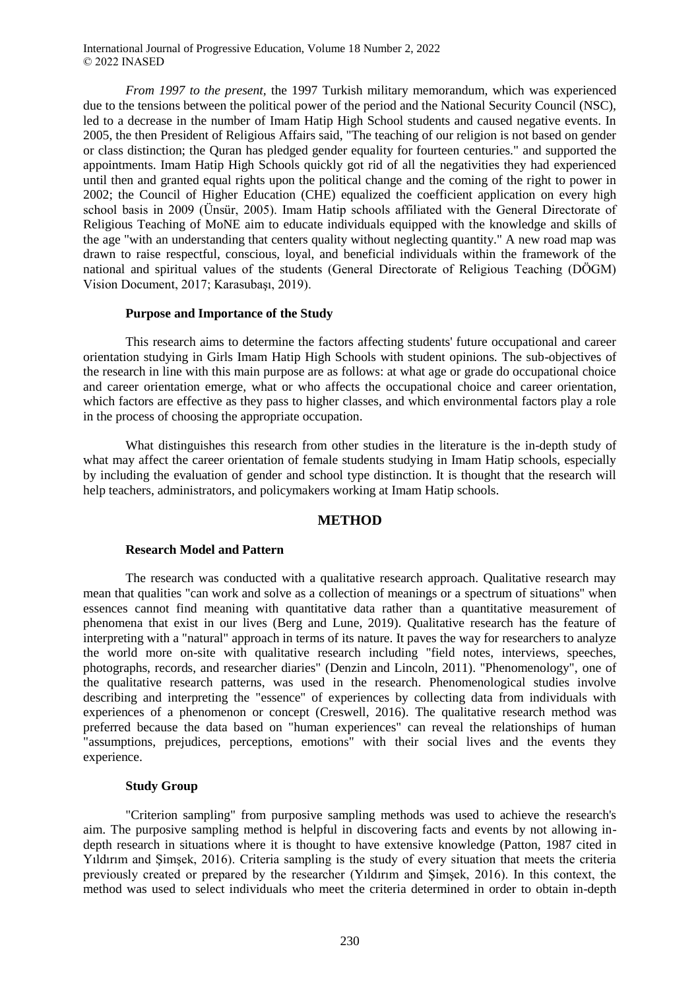*From 1997 to the present,* the 1997 Turkish military memorandum, which was experienced due to the tensions between the political power of the period and the National Security Council (NSC), led to a decrease in the number of Imam Hatip High School students and caused negative events. In 2005, the then President of Religious Affairs said, "The teaching of our religion is not based on gender or class distinction; the Quran has pledged gender equality for fourteen centuries." and supported the appointments. Imam Hatip High Schools quickly got rid of all the negativities they had experienced until then and granted equal rights upon the political change and the coming of the right to power in 2002; the Council of Higher Education (CHE) equalized the coefficient application on every high school basis in 2009 (Ünsür, 2005). Imam Hatip schools affiliated with the General Directorate of Religious Teaching of MoNE aim to educate individuals equipped with the knowledge and skills of the age "with an understanding that centers quality without neglecting quantity." A new road map was drawn to raise respectful, conscious, loyal, and beneficial individuals within the framework of the national and spiritual values of the students (General Directorate of Religious Teaching (DÖGM) Vision Document, 2017; Karasubaşı, 2019).

#### **Purpose and Importance of the Study**

This research aims to determine the factors affecting students' future occupational and career orientation studying in Girls Imam Hatip High Schools with student opinions. The sub-objectives of the research in line with this main purpose are as follows: at what age or grade do occupational choice and career orientation emerge, what or who affects the occupational choice and career orientation, which factors are effective as they pass to higher classes, and which environmental factors play a role in the process of choosing the appropriate occupation.

What distinguishes this research from other studies in the literature is the in-depth study of what may affect the career orientation of female students studying in Imam Hatip schools, especially by including the evaluation of gender and school type distinction. It is thought that the research will help teachers, administrators, and policymakers working at Imam Hatip schools.

## **METHOD**

#### **Research Model and Pattern**

The research was conducted with a qualitative research approach. Qualitative research may mean that qualities "can work and solve as a collection of meanings or a spectrum of situations" when essences cannot find meaning with quantitative data rather than a quantitative measurement of phenomena that exist in our lives (Berg and Lune, 2019). Qualitative research has the feature of interpreting with a "natural" approach in terms of its nature. It paves the way for researchers to analyze the world more on-site with qualitative research including "field notes, interviews, speeches, photographs, records, and researcher diaries" (Denzin and Lincoln, 2011). "Phenomenology", one of the qualitative research patterns, was used in the research. Phenomenological studies involve describing and interpreting the "essence" of experiences by collecting data from individuals with experiences of a phenomenon or concept (Creswell, 2016). The qualitative research method was preferred because the data based on "human experiences" can reveal the relationships of human "assumptions, prejudices, perceptions, emotions" with their social lives and the events they experience.

## **Study Group**

"Criterion sampling" from purposive sampling methods was used to achieve the research's aim. The purposive sampling method is helpful in discovering facts and events by not allowing indepth research in situations where it is thought to have extensive knowledge (Patton, 1987 cited in Yıldırım and Şimşek, 2016). Criteria sampling is the study of every situation that meets the criteria previously created or prepared by the researcher (Yıldırım and Şimşek, 2016). In this context, the method was used to select individuals who meet the criteria determined in order to obtain in-depth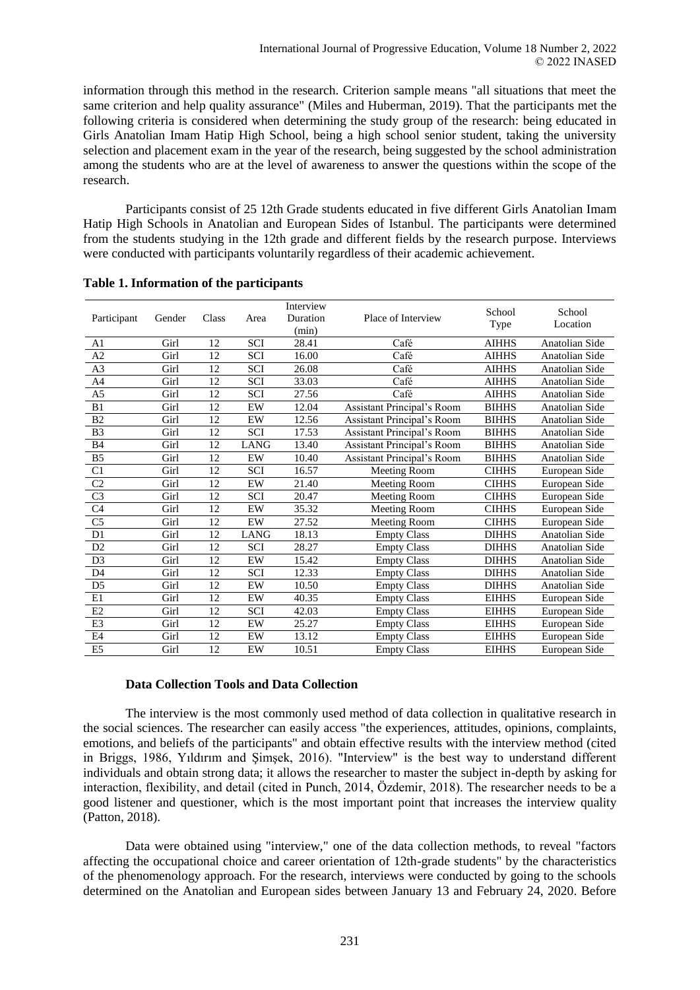information through this method in the research. Criterion sample means "all situations that meet the same criterion and help quality assurance" (Miles and Huberman, 2019). That the participants met the following criteria is considered when determining the study group of the research: being educated in Girls Anatolian Imam Hatip High School, being a high school senior student, taking the university selection and placement exam in the year of the research, being suggested by the school administration among the students who are at the level of awareness to answer the questions within the scope of the research.

Participants consist of 25 12th Grade students educated in five different Girls Anatolian Imam Hatip High Schools in Anatolian and European Sides of Istanbul. The participants were determined from the students studying in the 12th grade and different fields by the research purpose. Interviews were conducted with participants voluntarily regardless of their academic achievement.

|                |        | Class | Area        | Interview |                                   | School       | School                |
|----------------|--------|-------|-------------|-----------|-----------------------------------|--------------|-----------------------|
| Participant    | Gender |       |             | Duration  | Place of Interview                |              | Location              |
|                |        |       |             | (min)     |                                   | Type         |                       |
| A <sub>1</sub> | Girl   | 12    | <b>SCI</b>  | 28.41     | Café                              | <b>AIHHS</b> | Anatolian Side        |
| A2             | Girl   | 12    | <b>SCI</b>  | 16.00     | Café                              | <b>AIHHS</b> | Anatolian Side        |
| A3             | Girl   | 12    | SCI         | 26.08     | Café                              | <b>AIHHS</b> | <b>Anatolian Side</b> |
| A4             | Girl   | 12    | SCI         | 33.03     | Café                              | <b>AIHHS</b> | <b>Anatolian Side</b> |
| A <sub>5</sub> | Girl   | 12    | <b>SCI</b>  | 27.56     | Café                              | <b>AIHHS</b> | Anatolian Side        |
| B1             | Girl   | 12    | EW          | 12.04     | Assistant Principal's Room        | <b>BIHHS</b> | Anatolian Side        |
| B <sub>2</sub> | Girl   | 12    | EW          | 12.56     | <b>Assistant Principal's Room</b> | <b>BIHHS</b> | <b>Anatolian Side</b> |
| B <sub>3</sub> | Girl   | 12    | <b>SCI</b>  | 17.53     | <b>Assistant Principal's Room</b> | <b>BIHHS</b> | Anatolian Side        |
| B4             | Girl   | 12    | LANG        | 13.40     | <b>Assistant Principal's Room</b> | <b>BIHHS</b> | Anatolian Side        |
| B <sub>5</sub> | Girl   | 12    | EW          | 10.40     | Assistant Principal's Room        | <b>BIHHS</b> | <b>Anatolian Side</b> |
| C1             | Girl   | 12    | SCI         | 16.57     | Meeting Room                      | <b>CIHHS</b> | European Side         |
| C <sub>2</sub> | Girl   | 12    | EW          | 21.40     | <b>Meeting Room</b>               | <b>CIHHS</b> | European Side         |
| C <sub>3</sub> | Girl   | 12    | <b>SCI</b>  | 20.47     | Meeting Room                      | <b>CIHHS</b> | European Side         |
| C <sub>4</sub> | Girl   | 12    | EW          | 35.32     | Meeting Room                      | <b>CIHHS</b> | European Side         |
| C <sub>5</sub> | Girl   | 12    | EW          | 27.52     | Meeting Room                      | <b>CIHHS</b> | European Side         |
| D1             | Girl   | 12    | <b>LANG</b> | 18.13     | <b>Empty Class</b>                | <b>DIHHS</b> | <b>Anatolian Side</b> |
| D2             | Girl   | 12    | <b>SCI</b>  | 28.27     | <b>Empty Class</b>                | <b>DIHHS</b> | Anatolian Side        |
| D <sub>3</sub> | Girl   | 12    | EW          | 15.42     | <b>Empty Class</b>                | <b>DIHHS</b> | <b>Anatolian Side</b> |
| D <sub>4</sub> | Girl   | 12    | SCI         | 12.33     | <b>Empty Class</b>                | <b>DIHHS</b> | <b>Anatolian Side</b> |
| D <sub>5</sub> | Girl   | 12    | EW          | 10.50     | <b>Empty Class</b>                | <b>DIHHS</b> | Anatolian Side        |
| E1             | Girl   | 12    | EW          | 40.35     | <b>Empty Class</b>                | <b>EIHHS</b> | European Side         |
| E2             | Girl   | 12    | <b>SCI</b>  | 42.03     | <b>Empty Class</b>                | <b>EIHHS</b> | European Side         |
| E <sub>3</sub> | Girl   | 12    | EW          | 25.27     | <b>Empty Class</b>                | <b>EIHHS</b> | European Side         |
| E4             | Girl   | 12    | EW          | 13.12     | <b>Empty Class</b>                | <b>EIHHS</b> | European Side         |
| E <sub>5</sub> | Girl   | 12    | EW          | 10.51     | <b>Empty Class</b>                | <b>EIHHS</b> | European Side         |

#### **Table 1. Information of the participants**

## **Data Collection Tools and Data Collection**

The interview is the most commonly used method of data collection in qualitative research in the social sciences. The researcher can easily access "the experiences, attitudes, opinions, complaints, emotions, and beliefs of the participants" and obtain effective results with the interview method (cited in Briggs, 1986, Yıldırım and Şimşek, 2016). "Interview" is the best way to understand different individuals and obtain strong data; it allows the researcher to master the subject in-depth by asking for interaction, flexibility, and detail (cited in Punch, 2014, Özdemir, 2018). The researcher needs to be a good listener and questioner, which is the most important point that increases the interview quality (Patton, 2018).

Data were obtained using "interview," one of the data collection methods, to reveal "factors affecting the occupational choice and career orientation of 12th-grade students" by the characteristics of the phenomenology approach. For the research, interviews were conducted by going to the schools determined on the Anatolian and European sides between January 13 and February 24, 2020. Before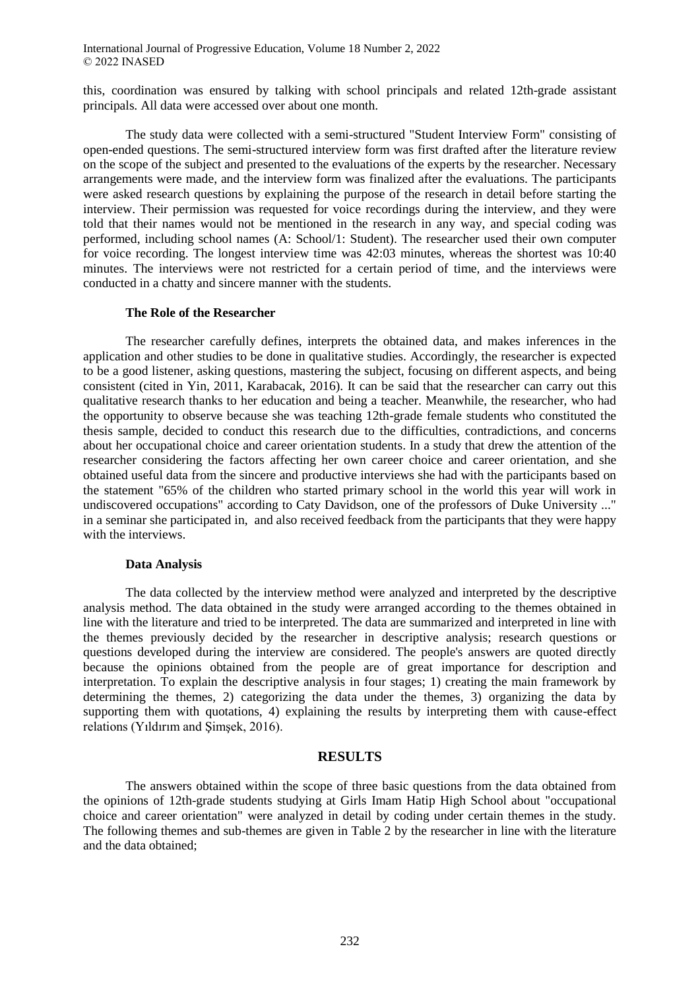this, coordination was ensured by talking with school principals and related 12th-grade assistant principals. All data were accessed over about one month.

The study data were collected with a semi-structured "Student Interview Form" consisting of open-ended questions. The semi-structured interview form was first drafted after the literature review on the scope of the subject and presented to the evaluations of the experts by the researcher. Necessary arrangements were made, and the interview form was finalized after the evaluations. The participants were asked research questions by explaining the purpose of the research in detail before starting the interview. Their permission was requested for voice recordings during the interview, and they were told that their names would not be mentioned in the research in any way, and special coding was performed, including school names (A: School/1: Student). The researcher used their own computer for voice recording. The longest interview time was 42:03 minutes, whereas the shortest was 10:40 minutes. The interviews were not restricted for a certain period of time, and the interviews were conducted in a chatty and sincere manner with the students.

#### **The Role of the Researcher**

The researcher carefully defines, interprets the obtained data, and makes inferences in the application and other studies to be done in qualitative studies. Accordingly, the researcher is expected to be a good listener, asking questions, mastering the subject, focusing on different aspects, and being consistent (cited in Yin, 2011, Karabacak, 2016). It can be said that the researcher can carry out this qualitative research thanks to her education and being a teacher. Meanwhile, the researcher, who had the opportunity to observe because she was teaching 12th-grade female students who constituted the thesis sample, decided to conduct this research due to the difficulties, contradictions, and concerns about her occupational choice and career orientation students. In a study that drew the attention of the researcher considering the factors affecting her own career choice and career orientation, and she obtained useful data from the sincere and productive interviews she had with the participants based on the statement "65% of the children who started primary school in the world this year will work in undiscovered occupations" according to Caty Davidson, one of the professors of Duke University ..." in a seminar she participated in, and also received feedback from the participants that they were happy with the interviews.

#### **Data Analysis**

The data collected by the interview method were analyzed and interpreted by the descriptive analysis method. The data obtained in the study were arranged according to the themes obtained in line with the literature and tried to be interpreted. The data are summarized and interpreted in line with the themes previously decided by the researcher in descriptive analysis; research questions or questions developed during the interview are considered. The people's answers are quoted directly because the opinions obtained from the people are of great importance for description and interpretation. To explain the descriptive analysis in four stages; 1) creating the main framework by determining the themes, 2) categorizing the data under the themes, 3) organizing the data by supporting them with quotations, 4) explaining the results by interpreting them with cause-effect relations (Yıldırım and Şimşek, 2016).

## **RESULTS**

The answers obtained within the scope of three basic questions from the data obtained from the opinions of 12th-grade students studying at Girls Imam Hatip High School about "occupational choice and career orientation" were analyzed in detail by coding under certain themes in the study. The following themes and sub-themes are given in Table 2 by the researcher in line with the literature and the data obtained;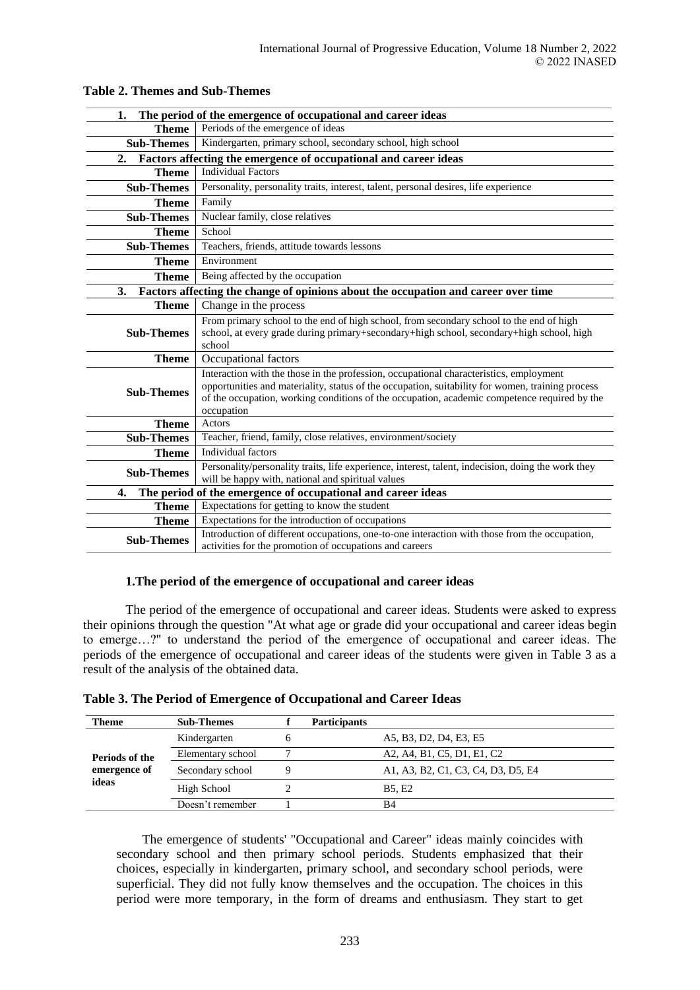| 1.                                                                                                                                                                                                                                                                                                                            |                                                                                                                                                                                               |  |  |  |  |  |  |
|-------------------------------------------------------------------------------------------------------------------------------------------------------------------------------------------------------------------------------------------------------------------------------------------------------------------------------|-----------------------------------------------------------------------------------------------------------------------------------------------------------------------------------------------|--|--|--|--|--|--|
| The period of the emergence of occupational and career ideas                                                                                                                                                                                                                                                                  |                                                                                                                                                                                               |  |  |  |  |  |  |
| <b>Theme</b>                                                                                                                                                                                                                                                                                                                  | Periods of the emergence of ideas                                                                                                                                                             |  |  |  |  |  |  |
| <b>Sub-Themes</b>                                                                                                                                                                                                                                                                                                             | Kindergarten, primary school, secondary school, high school                                                                                                                                   |  |  |  |  |  |  |
| 2.                                                                                                                                                                                                                                                                                                                            | Factors affecting the emergence of occupational and career ideas                                                                                                                              |  |  |  |  |  |  |
| <b>Theme</b>                                                                                                                                                                                                                                                                                                                  | <b>Individual Factors</b>                                                                                                                                                                     |  |  |  |  |  |  |
| <b>Sub-Themes</b>                                                                                                                                                                                                                                                                                                             | Personality, personality traits, interest, talent, personal desires, life experience                                                                                                          |  |  |  |  |  |  |
| <b>Theme</b>                                                                                                                                                                                                                                                                                                                  | Family                                                                                                                                                                                        |  |  |  |  |  |  |
| <b>Sub-Themes</b>                                                                                                                                                                                                                                                                                                             | Nuclear family, close relatives                                                                                                                                                               |  |  |  |  |  |  |
| <b>Theme</b>                                                                                                                                                                                                                                                                                                                  | School                                                                                                                                                                                        |  |  |  |  |  |  |
| <b>Sub-Themes</b>                                                                                                                                                                                                                                                                                                             | Teachers, friends, attitude towards lessons                                                                                                                                                   |  |  |  |  |  |  |
| <b>Theme</b>                                                                                                                                                                                                                                                                                                                  | Environment                                                                                                                                                                                   |  |  |  |  |  |  |
| <b>Theme</b>                                                                                                                                                                                                                                                                                                                  | Being affected by the occupation                                                                                                                                                              |  |  |  |  |  |  |
| 3.                                                                                                                                                                                                                                                                                                                            | Factors affecting the change of opinions about the occupation and career over time                                                                                                            |  |  |  |  |  |  |
| <b>Theme</b>                                                                                                                                                                                                                                                                                                                  | Change in the process                                                                                                                                                                         |  |  |  |  |  |  |
| <b>Sub-Themes</b>                                                                                                                                                                                                                                                                                                             | From primary school to the end of high school, from secondary school to the end of high<br>school, at every grade during primary+secondary+high school, secondary+high school, high<br>school |  |  |  |  |  |  |
| <b>Theme</b>                                                                                                                                                                                                                                                                                                                  | Occupational factors                                                                                                                                                                          |  |  |  |  |  |  |
| Interaction with the those in the profession, occupational characteristics, employment<br>opportunities and materiality, status of the occupation, suitability for women, training process<br><b>Sub-Themes</b><br>of the occupation, working conditions of the occupation, academic competence required by the<br>occupation |                                                                                                                                                                                               |  |  |  |  |  |  |
| <b>Theme</b>                                                                                                                                                                                                                                                                                                                  | Actors                                                                                                                                                                                        |  |  |  |  |  |  |
| <b>Sub-Themes</b>                                                                                                                                                                                                                                                                                                             | Teacher, friend, family, close relatives, environment/society                                                                                                                                 |  |  |  |  |  |  |
| <b>Theme</b>                                                                                                                                                                                                                                                                                                                  | Individual factors                                                                                                                                                                            |  |  |  |  |  |  |
| <b>Sub-Themes</b>                                                                                                                                                                                                                                                                                                             | Personality/personality traits, life experience, interest, talent, indecision, doing the work they<br>will be happy with, national and spiritual values                                       |  |  |  |  |  |  |
| The period of the emergence of occupational and career ideas<br>4.                                                                                                                                                                                                                                                            |                                                                                                                                                                                               |  |  |  |  |  |  |
| <b>Theme</b>                                                                                                                                                                                                                                                                                                                  | Expectations for getting to know the student                                                                                                                                                  |  |  |  |  |  |  |
| <b>Theme</b>                                                                                                                                                                                                                                                                                                                  | Expectations for the introduction of occupations                                                                                                                                              |  |  |  |  |  |  |
| Introduction of different occupations, one-to-one interaction with those from the occupation,<br><b>Sub-Themes</b><br>activities for the promotion of occupations and careers                                                                                                                                                 |                                                                                                                                                                                               |  |  |  |  |  |  |

## **Table 2. Themes and Sub-Themes**

## **1.The period of the emergence of occupational and career ideas**

The period of the emergence of occupational and career ideas. Students were asked to express their opinions through the question "At what age or grade did your occupational and career ideas begin to emerge…?" to understand the period of the emergence of occupational and career ideas. The periods of the emergence of occupational and career ideas of the students were given in Table 3 as a result of the analysis of the obtained data.

| Theme          | <b>Sub-Themes</b> |              | <b>Participants</b> |                                    |
|----------------|-------------------|--------------|---------------------|------------------------------------|
|                | Kindergarten      | <sub>6</sub> |                     | A5, B3, D2, D4, E3, E5             |
| Periods of the | Elementary school |              |                     | A2, A4, B1, C5, D1, E1, C2         |
| emergence of   | Secondary school  |              |                     | A1, A3, B2, C1, C3, C4, D3, D5, E4 |
| ideas          | High School       |              |                     | <b>B5. E2</b>                      |
|                | Doesn't remember  |              |                     | B4                                 |

The emergence of students' "Occupational and Career" ideas mainly coincides with secondary school and then primary school periods. Students emphasized that their choices, especially in kindergarten, primary school, and secondary school periods, were superficial. They did not fully know themselves and the occupation. The choices in this period were more temporary, in the form of dreams and enthusiasm. They start to get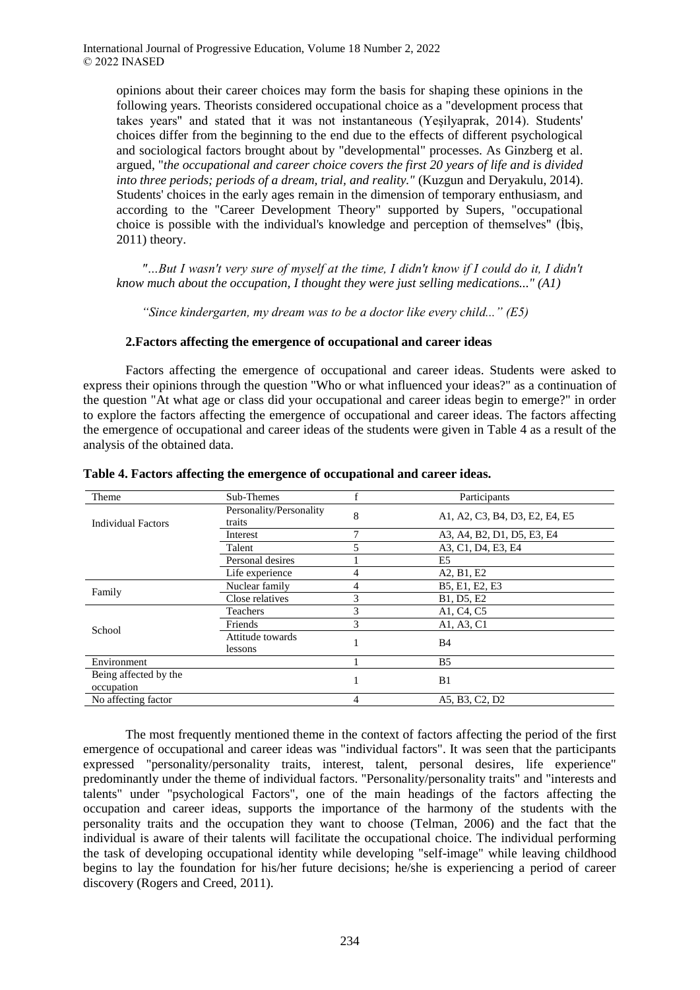opinions about their career choices may form the basis for shaping these opinions in the following years. Theorists considered occupational choice as a "development process that takes years" and stated that it was not instantaneous (Yeşilyaprak, 2014). Students' choices differ from the beginning to the end due to the effects of different psychological and sociological factors brought about by "developmental" processes. As Ginzberg et al. argued, "*the occupational and career choice covers the first 20 years of life and is divided into three periods; periods of a dream, trial, and reality." (Kuzgun and Deryakulu, 2014).* Students' choices in the early ages remain in the dimension of temporary enthusiasm, and according to the "Career Development Theory" supported by Supers, "occupational choice is possible with the individual's knowledge and perception of themselves" (İbiş, 2011) theory.

*"…But I wasn't very sure of myself at the time, I didn't know if I could do it, I didn't know much about the occupation, I thought they were just selling medications..." (A1)*

*"Since kindergarten, my dream was to be a doctor like every child..." (E5)*

## **2.Factors affecting the emergence of occupational and career ideas**

Factors affecting the emergence of occupational and career ideas. Students were asked to express their opinions through the question "Who or what influenced your ideas?" as a continuation of the question "At what age or class did your occupational and career ideas begin to emerge?" in order to explore the factors affecting the emergence of occupational and career ideas. The factors affecting the emergence of occupational and career ideas of the students were given in Table 4 as a result of the analysis of the obtained data.

| Theme                               | Sub-Themes                        |   | Participants                   |
|-------------------------------------|-----------------------------------|---|--------------------------------|
| <b>Individual Factors</b>           | Personality/Personality<br>traits | 8 | A1, A2, C3, B4, D3, E2, E4, E5 |
|                                     | Interest                          | 7 | A3, A4, B2, D1, D5, E3, E4     |
|                                     | Talent                            | 5 | A3, C1, D4, E3, E4             |
|                                     | Personal desires                  |   | E5                             |
|                                     | Life experience                   | 4 | A2, B1, E2                     |
|                                     | Nuclear family                    | 4 | B5, E1, E2, E3                 |
| Family                              | Close relatives                   | 3 | B1, D5, E2                     |
|                                     | Teachers                          | 3 | A1, C4, C5                     |
| School                              | Friends                           | 3 | A1, A3, C1                     |
|                                     | Attitude towards<br>lessons       |   | <b>B</b> 4                     |
| Environment                         |                                   |   | B <sub>5</sub>                 |
| Being affected by the<br>occupation |                                   |   | B1                             |
| No affecting factor                 |                                   | 4 | A5, B3, C2, D2                 |

**Table 4. Factors affecting the emergence of occupational and career ideas.**

The most frequently mentioned theme in the context of factors affecting the period of the first emergence of occupational and career ideas was "individual factors". It was seen that the participants expressed "personality/personality traits, interest, talent, personal desires, life experience" predominantly under the theme of individual factors. "Personality/personality traits" and "interests and talents" under "psychological Factors", one of the main headings of the factors affecting the occupation and career ideas, supports the importance of the harmony of the students with the personality traits and the occupation they want to choose (Telman, 2006) and the fact that the individual is aware of their talents will facilitate the occupational choice. The individual performing the task of developing occupational identity while developing "self-image" while leaving childhood begins to lay the foundation for his/her future decisions; he/she is experiencing a period of career discovery (Rogers and Creed, 2011).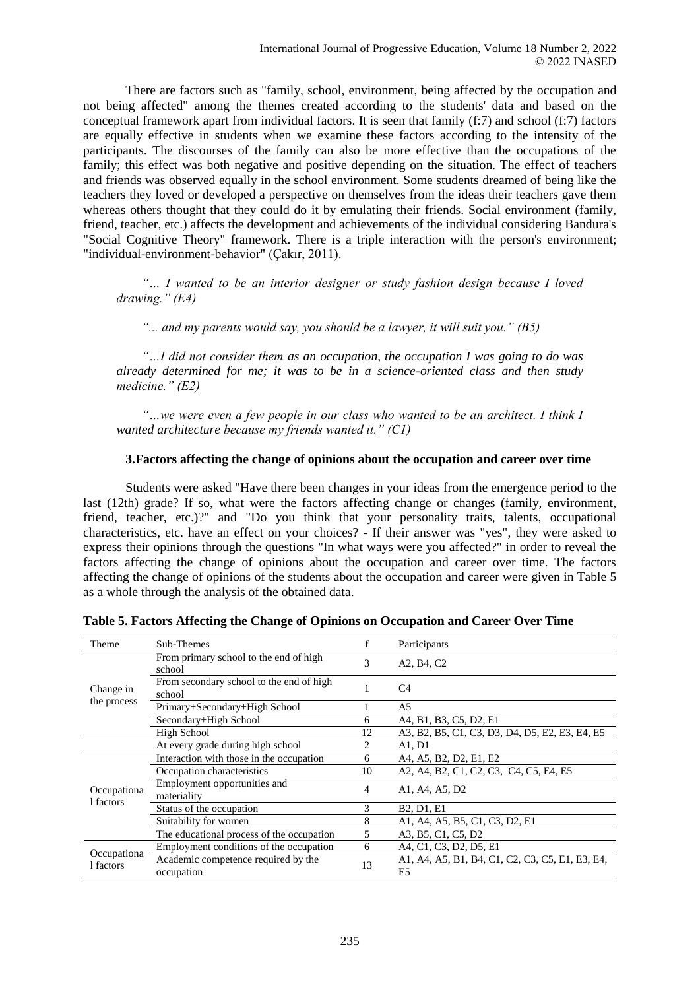There are factors such as "family, school, environment, being affected by the occupation and not being affected" among the themes created according to the students' data and based on the conceptual framework apart from individual factors. It is seen that family (f:7) and school (f:7) factors are equally effective in students when we examine these factors according to the intensity of the participants. The discourses of the family can also be more effective than the occupations of the family; this effect was both negative and positive depending on the situation. The effect of teachers and friends was observed equally in the school environment. Some students dreamed of being like the teachers they loved or developed a perspective on themselves from the ideas their teachers gave them whereas others thought that they could do it by emulating their friends. Social environment (family, friend, teacher, etc.) affects the development and achievements of the individual considering Bandura's "Social Cognitive Theory" framework. There is a triple interaction with the person's environment; "individual-environment-behavior" (Çakır, 2011).

*"… I wanted to be an interior designer or study fashion design because I loved drawing." (E4)* 

*"... and my parents would say, you should be a lawyer, it will suit you." (B5)*

*"…I did not consider them as an occupation, the occupation I was going to do was already determined for me; it was to be in a science-oriented class and then study medicine." (E2)*

*"…we were even a few people in our class who wanted to be an architect. I think I wanted architecture because my friends wanted it." (C1)*

## **3.Factors affecting the change of opinions about the occupation and career over time**

Students were asked "Have there been changes in your ideas from the emergence period to the last (12th) grade? If so, what were the factors affecting change or changes (family, environment, friend, teacher, etc.)?" and "Do you think that your personality traits, talents, occupational characteristics, etc. have an effect on your choices? - If their answer was "yes", they were asked to express their opinions through the questions "In what ways were you affected?" in order to reveal the factors affecting the change of opinions about the occupation and career over time. The factors affecting the change of opinions of the students about the occupation and career were given in Table 5 as a whole through the analysis of the obtained data.

|  |  | Table 5. Factors Affecting the Change of Opinions on Occupation and Career Over Time |  |  |
|--|--|--------------------------------------------------------------------------------------|--|--|
|  |  |                                                                                      |  |  |

| Theme                    | Sub-Themes                                         |    | Participants                                                      |
|--------------------------|----------------------------------------------------|----|-------------------------------------------------------------------|
| Change in                | From primary school to the end of high<br>school   | 3  | A2, B4, C2                                                        |
|                          | From secondary school to the end of high<br>school |    | C <sub>4</sub>                                                    |
| the process              | Primary+Secondary+High School                      |    | A5                                                                |
|                          | Secondary+High School                              | 6  | A4, B1, B3, C5, D2, E1                                            |
|                          | High School                                        | 12 | A3, B2, B5, C1, C3, D3, D4, D5, E2, E3, E4, E5                    |
|                          | At every grade during high school                  | 2  | A1, D1                                                            |
| Occupationa<br>1 factors | Interaction with those in the occupation           | 6  | A4, A5, B2, D2, E1, E2                                            |
|                          | Occupation characteristics                         | 10 | A2, A4, B2, C1, C2, C3, C4, C5, E4, E5                            |
|                          | Employment opportunities and<br>materiality        | 4  | A1, A4, A5, D2                                                    |
|                          | Status of the occupation                           | 3  | B <sub>2</sub> , D <sub>1</sub> , E <sub>1</sub>                  |
|                          | Suitability for women                              | 8  | A1, A4, A5, B5, C1, C3, D2, E1                                    |
|                          | The educational process of the occupation          | 5  | A3, B5, C1, C5, D2                                                |
| Occupationa<br>1 factors | Employment conditions of the occupation            | 6  | A4, C1, C3, D2, D5, E1                                            |
|                          | Academic competence required by the<br>occupation  | 13 | A1, A4, A5, B1, B4, C1, C2, C3, C5, E1, E3, E4,<br>E <sub>5</sub> |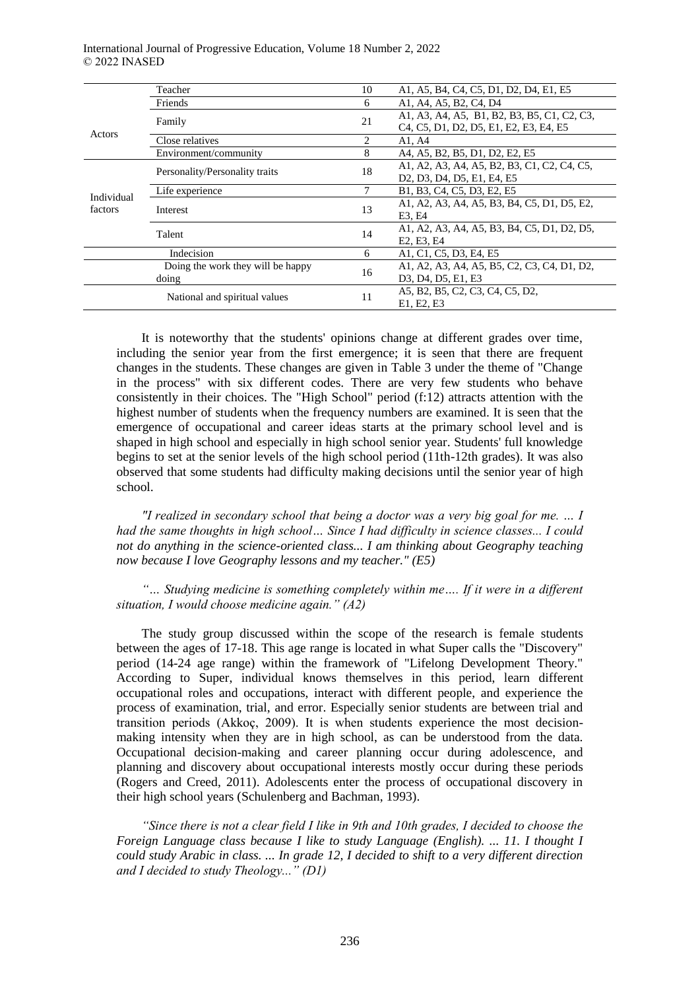|            | Teacher                           | 10 | A1, A5, B4, C4, C5, D1, D2, D4, E1, E5                                                                                                                                  |
|------------|-----------------------------------|----|-------------------------------------------------------------------------------------------------------------------------------------------------------------------------|
|            | Friends                           | 6  | A1, A4, A5, B2, C4, D4                                                                                                                                                  |
|            | Family                            | 21 | A1, A3, A4, A5, B1, B2, B3, B5, C1, C2, C3,                                                                                                                             |
| Actors     |                                   |    | C <sub>4</sub> , C <sub>5</sub> , D <sub>1</sub> , D <sub>2</sub> , D <sub>5</sub> , E <sub>1</sub> , E <sub>2</sub> , E <sub>3</sub> , E <sub>4</sub> , E <sub>5</sub> |
|            | Close relatives                   | 2  | A1, A4                                                                                                                                                                  |
|            | Environment/community             | 8  | A4, A5, B2, B5, D1, D2, E2, E5                                                                                                                                          |
|            | Personality/Personality traits    | 18 | A1, A2, A3, A4, A5, B2, B3, C1, C2, C4, C5,                                                                                                                             |
|            |                                   |    | D <sub>2</sub> , D <sub>3</sub> , D <sub>4</sub> , D <sub>5</sub> , E <sub>1</sub> , E <sub>4</sub> , E <sub>5</sub>                                                    |
| Individual | Life experience                   | 7  | B1, B3, C4, C5, D3, E2, E5                                                                                                                                              |
| factors    | Interest                          | 13 | A1, A2, A3, A4, A5, B3, B4, C5, D1, D5, E2,                                                                                                                             |
|            |                                   |    | E3. E4                                                                                                                                                                  |
|            | Talent                            | 14 | A1, A2, A3, A4, A5, B3, B4, C5, D1, D2, D5,                                                                                                                             |
|            |                                   |    | E2, E3, E4                                                                                                                                                              |
|            | Indecision                        | 6  | A1, C1, C5, D3, E4, E5                                                                                                                                                  |
|            | Doing the work they will be happy | 16 | A1, A2, A3, A4, A5, B5, C2, C3, C4, D1, D2,                                                                                                                             |
|            | doing                             |    | D3, D4, D5, E1, E3                                                                                                                                                      |
|            | National and spiritual values     | 11 | A5, B2, B5, C2, C3, C4, C5, D2,                                                                                                                                         |
|            |                                   |    | E1. E2. E3                                                                                                                                                              |
|            |                                   |    |                                                                                                                                                                         |

It is noteworthy that the students' opinions change at different grades over time, including the senior year from the first emergence; it is seen that there are frequent changes in the students. These changes are given in Table 3 under the theme of "Change in the process" with six different codes. There are very few students who behave consistently in their choices. The "High School" period (f:12) attracts attention with the highest number of students when the frequency numbers are examined. It is seen that the emergence of occupational and career ideas starts at the primary school level and is shaped in high school and especially in high school senior year. Students' full knowledge begins to set at the senior levels of the high school period (11th-12th grades). It was also observed that some students had difficulty making decisions until the senior year of high school.

*"I realized in secondary school that being a doctor was a very big goal for me. … I had the same thoughts in high school… Since I had difficulty in science classes... I could not do anything in the science-oriented class... I am thinking about Geography teaching now because I love Geography lessons and my teacher." (E5)*

*"… Studying medicine is something completely within me…. If it were in a different situation, I would choose medicine again." (A2)*

The study group discussed within the scope of the research is female students between the ages of 17-18. This age range is located in what Super calls the "Discovery" period (14-24 age range) within the framework of "Lifelong Development Theory." According to Super, individual knows themselves in this period, learn different occupational roles and occupations, interact with different people, and experience the process of examination, trial, and error. Especially senior students are between trial and transition periods (Akkoç, 2009). It is when students experience the most decisionmaking intensity when they are in high school, as can be understood from the data. Occupational decision-making and career planning occur during adolescence, and planning and discovery about occupational interests mostly occur during these periods (Rogers and Creed, 2011). Adolescents enter the process of occupational discovery in their high school years (Schulenberg and Bachman, 1993).

*"Since there is not a clear field I like in 9th and 10th grades, I decided to choose the Foreign Language class because I like to study Language (English). ... 11. I thought I could study Arabic in class. ... In grade 12, I decided to shift to a very different direction and I decided to study Theology..." (D1)*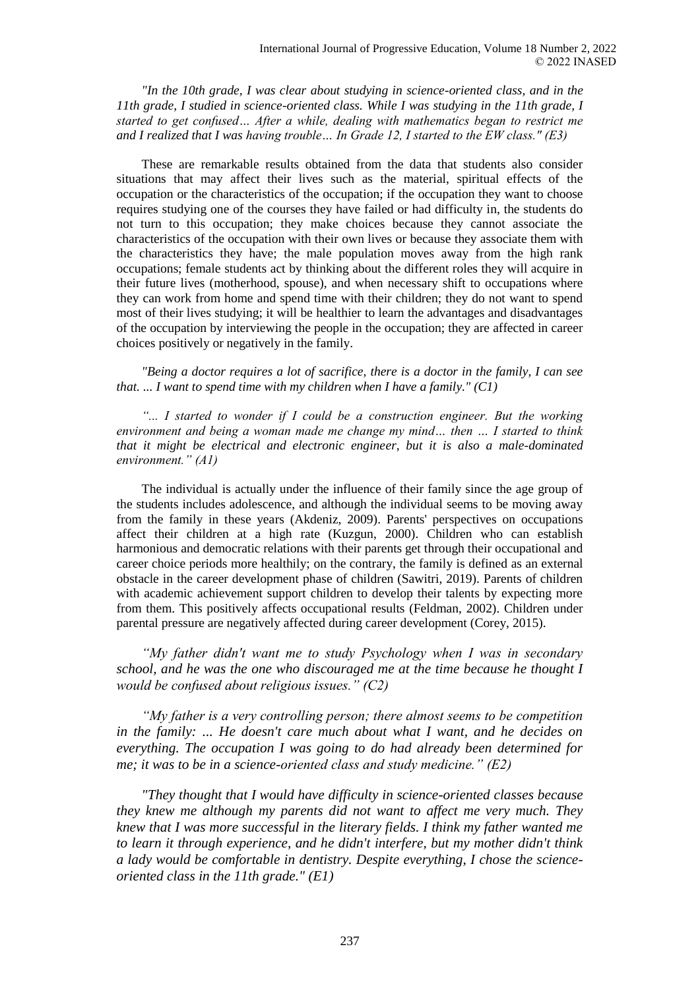*"In the 10th grade, I was clear about studying in science-oriented class, and in the 11th grade, I studied in science-oriented class. While I was studying in the 11th grade, I started to get confused… After a while, dealing with mathematics began to restrict me and I realized that I was having trouble… In Grade 12, I started to the EW class." (E3)*

These are remarkable results obtained from the data that students also consider situations that may affect their lives such as the material, spiritual effects of the occupation or the characteristics of the occupation; if the occupation they want to choose requires studying one of the courses they have failed or had difficulty in, the students do not turn to this occupation; they make choices because they cannot associate the characteristics of the occupation with their own lives or because they associate them with the characteristics they have; the male population moves away from the high rank occupations; female students act by thinking about the different roles they will acquire in their future lives (motherhood, spouse), and when necessary shift to occupations where they can work from home and spend time with their children; they do not want to spend most of their lives studying; it will be healthier to learn the advantages and disadvantages of the occupation by interviewing the people in the occupation; they are affected in career choices positively or negatively in the family.

*"Being a doctor requires a lot of sacrifice, there is a doctor in the family, I can see that. ... I want to spend time with my children when I have a family." (C1)*

*"... I started to wonder if I could be a construction engineer. But the working environment and being a woman made me change my mind… then … I started to think that it might be electrical and electronic engineer, but it is also a male-dominated environment." (A1)*

The individual is actually under the influence of their family since the age group of the students includes adolescence, and although the individual seems to be moving away from the family in these years (Akdeniz, 2009). Parents' perspectives on occupations affect their children at a high rate (Kuzgun, 2000). Children who can establish harmonious and democratic relations with their parents get through their occupational and career choice periods more healthily; on the contrary, the family is defined as an external obstacle in the career development phase of children (Sawitri, 2019). Parents of children with academic achievement support children to develop their talents by expecting more from them. This positively affects occupational results (Feldman, 2002). Children under parental pressure are negatively affected during career development (Corey, 2015).

*"My father didn't want me to study Psychology when I was in secondary school, and he was the one who discouraged me at the time because he thought I would be confused about religious issues." (C2)*

*"My father is a very controlling person; there almost seems to be competition in the family: ... He doesn't care much about what I want, and he decides on everything. The occupation I was going to do had already been determined for me; it was to be in a science-oriented class and study medicine." (E2)*

*"They thought that I would have difficulty in science-oriented classes because they knew me although my parents did not want to affect me very much. They knew that I was more successful in the literary fields. I think my father wanted me to learn it through experience, and he didn't interfere, but my mother didn't think a lady would be comfortable in dentistry. Despite everything, I chose the scienceoriented class in the 11th grade." (E1)*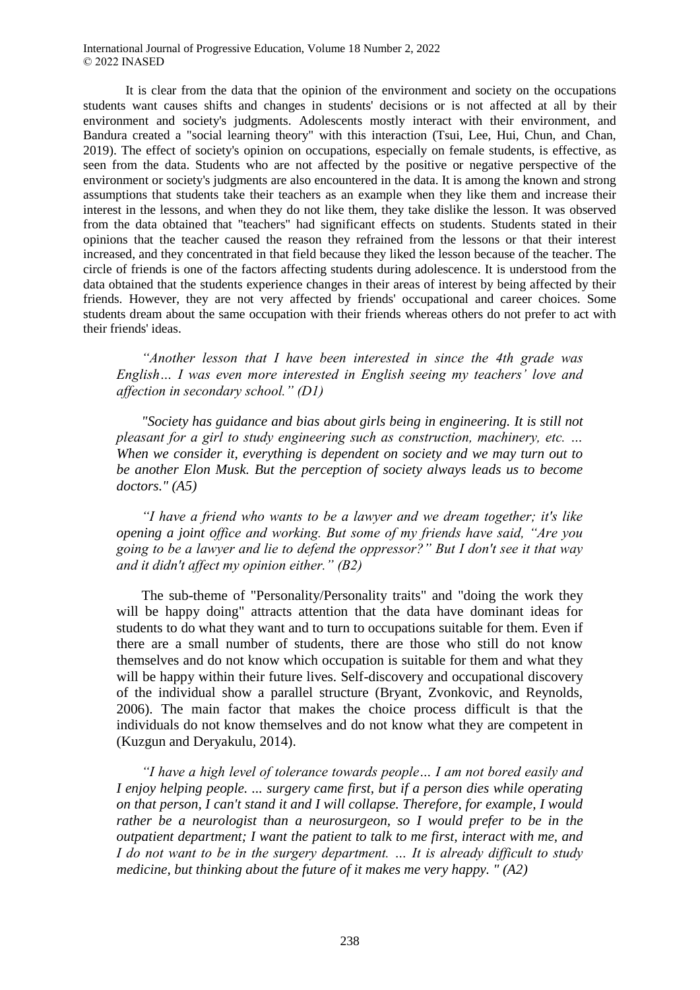It is clear from the data that the opinion of the environment and society on the occupations students want causes shifts and changes in students' decisions or is not affected at all by their environment and society's judgments. Adolescents mostly interact with their environment, and Bandura created a "social learning theory" with this interaction (Tsui, Lee, Hui, Chun, and Chan, 2019). The effect of society's opinion on occupations, especially on female students, is effective, as seen from the data. Students who are not affected by the positive or negative perspective of the environment or society's judgments are also encountered in the data. It is among the known and strong assumptions that students take their teachers as an example when they like them and increase their interest in the lessons, and when they do not like them, they take dislike the lesson. It was observed from the data obtained that "teachers" had significant effects on students. Students stated in their opinions that the teacher caused the reason they refrained from the lessons or that their interest increased, and they concentrated in that field because they liked the lesson because of the teacher. The circle of friends is one of the factors affecting students during adolescence. It is understood from the data obtained that the students experience changes in their areas of interest by being affected by their friends. However, they are not very affected by friends' occupational and career choices. Some students dream about the same occupation with their friends whereas others do not prefer to act with their friends' ideas.

*"Another lesson that I have been interested in since the 4th grade was English… I was even more interested in English seeing my teachers' love and affection in secondary school." (D1)*

*"Society has guidance and bias about girls being in engineering. It is still not pleasant for a girl to study engineering such as construction, machinery, etc. … When we consider it, everything is dependent on society and we may turn out to be another Elon Musk. But the perception of society always leads us to become doctors." (A5)*

*"I have a friend who wants to be a lawyer and we dream together; it's like opening a joint office and working. But some of my friends have said, "Are you going to be a lawyer and lie to defend the oppressor?" But I don't see it that way and it didn't affect my opinion either." (B2)*

The sub-theme of "Personality/Personality traits" and "doing the work they will be happy doing" attracts attention that the data have dominant ideas for students to do what they want and to turn to occupations suitable for them. Even if there are a small number of students, there are those who still do not know themselves and do not know which occupation is suitable for them and what they will be happy within their future lives. Self-discovery and occupational discovery of the individual show a parallel structure (Bryant, Zvonkovic, and Reynolds, 2006). The main factor that makes the choice process difficult is that the individuals do not know themselves and do not know what they are competent in (Kuzgun and Deryakulu, 2014).

*"I have a high level of tolerance towards people… I am not bored easily and I enjoy helping people. ... surgery came first, but if a person dies while operating on that person, I can't stand it and I will collapse. Therefore, for example, I would rather be a neurologist than a neurosurgeon, so I would prefer to be in the outpatient department; I want the patient to talk to me first, interact with me, and I do not want to be in the surgery department. … It is already difficult to study medicine, but thinking about the future of it makes me very happy. " (A2)*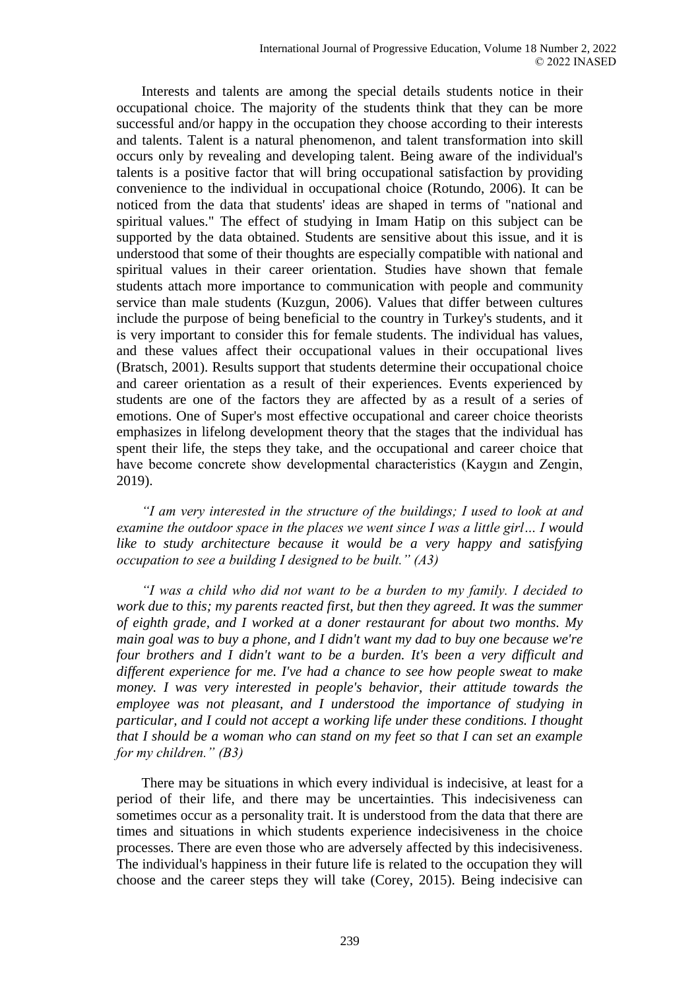Interests and talents are among the special details students notice in their occupational choice. The majority of the students think that they can be more successful and/or happy in the occupation they choose according to their interests and talents. Talent is a natural phenomenon, and talent transformation into skill occurs only by revealing and developing talent. Being aware of the individual's talents is a positive factor that will bring occupational satisfaction by providing convenience to the individual in occupational choice (Rotundo, 2006). It can be noticed from the data that students' ideas are shaped in terms of "national and spiritual values." The effect of studying in Imam Hatip on this subject can be supported by the data obtained. Students are sensitive about this issue, and it is understood that some of their thoughts are especially compatible with national and spiritual values in their career orientation. Studies have shown that female students attach more importance to communication with people and community service than male students (Kuzgun, 2006). Values that differ between cultures include the purpose of being beneficial to the country in Turkey's students, and it is very important to consider this for female students. The individual has values, and these values affect their occupational values in their occupational lives (Bratsch, 2001). Results support that students determine their occupational choice and career orientation as a result of their experiences. Events experienced by students are one of the factors they are affected by as a result of a series of emotions. One of Super's most effective occupational and career choice theorists emphasizes in lifelong development theory that the stages that the individual has spent their life, the steps they take, and the occupational and career choice that have become concrete show developmental characteristics (Kaygın and Zengin, 2019).

*"I am very interested in the structure of the buildings; I used to look at and examine the outdoor space in the places we went since I was a little girl… I would like to study architecture because it would be a very happy and satisfying occupation to see a building I designed to be built." (A3)*

*"I was a child who did not want to be a burden to my family. I decided to work due to this; my parents reacted first, but then they agreed. It was the summer of eighth grade, and I worked at a doner restaurant for about two months. My main goal was to buy a phone, and I didn't want my dad to buy one because we're four brothers and I didn't want to be a burden. It's been a very difficult and different experience for me. I've had a chance to see how people sweat to make money. I was very interested in people's behavior, their attitude towards the employee was not pleasant, and I understood the importance of studying in particular, and I could not accept a working life under these conditions. I thought that I should be a woman who can stand on my feet so that I can set an example for my children." (B3)*

There may be situations in which every individual is indecisive, at least for a period of their life, and there may be uncertainties. This indecisiveness can sometimes occur as a personality trait. It is understood from the data that there are times and situations in which students experience indecisiveness in the choice processes. There are even those who are adversely affected by this indecisiveness. The individual's happiness in their future life is related to the occupation they will choose and the career steps they will take (Corey, 2015). Being indecisive can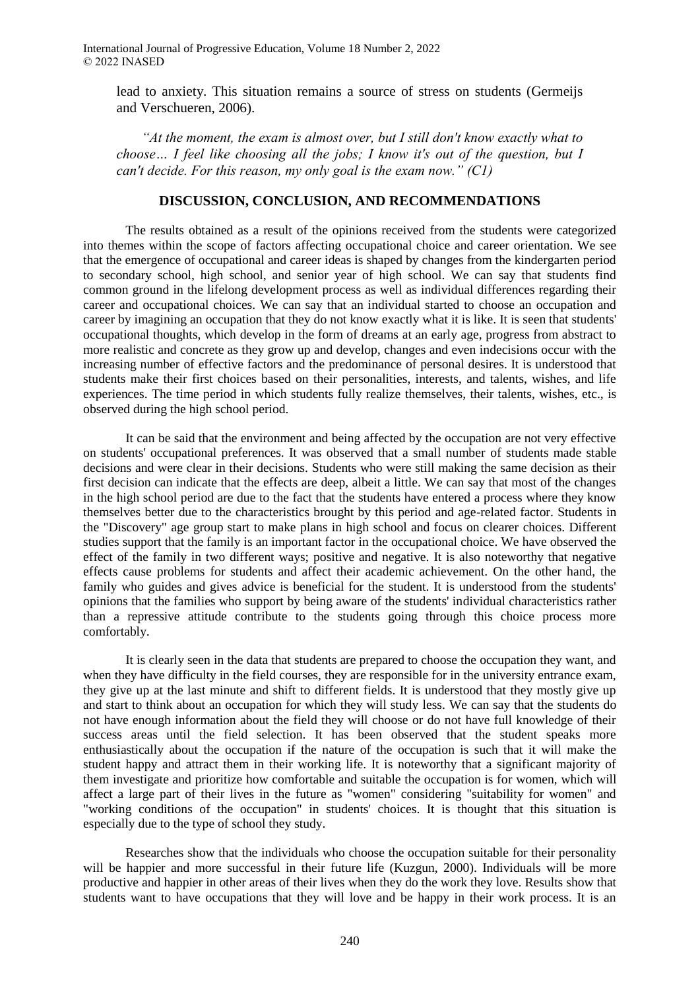lead to anxiety. This situation remains a source of stress on students (Germeijs and Verschueren, 2006).

*"At the moment, the exam is almost over, but I still don't know exactly what to choose… I feel like choosing all the jobs; I know it's out of the question, but I can't decide. For this reason, my only goal is the exam now." (C1)*

## **DISCUSSION, CONCLUSION, AND RECOMMENDATIONS**

The results obtained as a result of the opinions received from the students were categorized into themes within the scope of factors affecting occupational choice and career orientation. We see that the emergence of occupational and career ideas is shaped by changes from the kindergarten period to secondary school, high school, and senior year of high school. We can say that students find common ground in the lifelong development process as well as individual differences regarding their career and occupational choices. We can say that an individual started to choose an occupation and career by imagining an occupation that they do not know exactly what it is like. It is seen that students' occupational thoughts, which develop in the form of dreams at an early age, progress from abstract to more realistic and concrete as they grow up and develop, changes and even indecisions occur with the increasing number of effective factors and the predominance of personal desires. It is understood that students make their first choices based on their personalities, interests, and talents, wishes, and life experiences. The time period in which students fully realize themselves, their talents, wishes, etc., is observed during the high school period.

It can be said that the environment and being affected by the occupation are not very effective on students' occupational preferences. It was observed that a small number of students made stable decisions and were clear in their decisions. Students who were still making the same decision as their first decision can indicate that the effects are deep, albeit a little. We can say that most of the changes in the high school period are due to the fact that the students have entered a process where they know themselves better due to the characteristics brought by this period and age-related factor. Students in the "Discovery" age group start to make plans in high school and focus on clearer choices. Different studies support that the family is an important factor in the occupational choice. We have observed the effect of the family in two different ways; positive and negative. It is also noteworthy that negative effects cause problems for students and affect their academic achievement. On the other hand, the family who guides and gives advice is beneficial for the student. It is understood from the students' opinions that the families who support by being aware of the students' individual characteristics rather than a repressive attitude contribute to the students going through this choice process more comfortably.

It is clearly seen in the data that students are prepared to choose the occupation they want, and when they have difficulty in the field courses, they are responsible for in the university entrance exam, they give up at the last minute and shift to different fields. It is understood that they mostly give up and start to think about an occupation for which they will study less. We can say that the students do not have enough information about the field they will choose or do not have full knowledge of their success areas until the field selection. It has been observed that the student speaks more enthusiastically about the occupation if the nature of the occupation is such that it will make the student happy and attract them in their working life. It is noteworthy that a significant majority of them investigate and prioritize how comfortable and suitable the occupation is for women, which will affect a large part of their lives in the future as "women" considering "suitability for women" and "working conditions of the occupation" in students' choices. It is thought that this situation is especially due to the type of school they study.

Researches show that the individuals who choose the occupation suitable for their personality will be happier and more successful in their future life (Kuzgun, 2000). Individuals will be more productive and happier in other areas of their lives when they do the work they love. Results show that students want to have occupations that they will love and be happy in their work process. It is an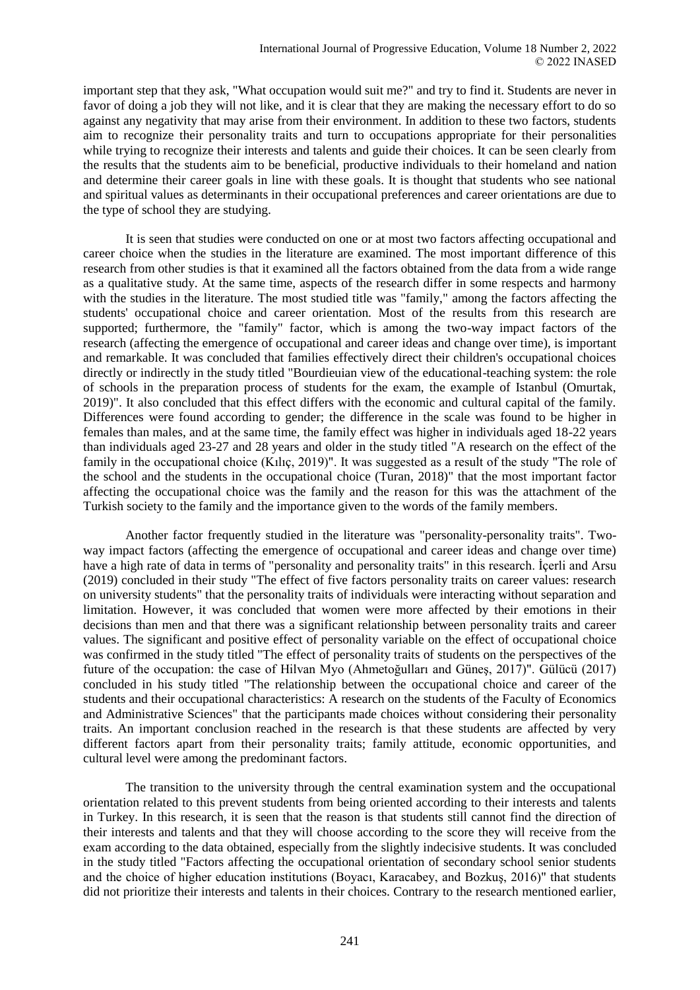important step that they ask, "What occupation would suit me?" and try to find it. Students are never in favor of doing a job they will not like, and it is clear that they are making the necessary effort to do so against any negativity that may arise from their environment. In addition to these two factors, students aim to recognize their personality traits and turn to occupations appropriate for their personalities while trying to recognize their interests and talents and guide their choices. It can be seen clearly from the results that the students aim to be beneficial, productive individuals to their homeland and nation and determine their career goals in line with these goals. It is thought that students who see national and spiritual values as determinants in their occupational preferences and career orientations are due to the type of school they are studying.

It is seen that studies were conducted on one or at most two factors affecting occupational and career choice when the studies in the literature are examined. The most important difference of this research from other studies is that it examined all the factors obtained from the data from a wide range as a qualitative study. At the same time, aspects of the research differ in some respects and harmony with the studies in the literature. The most studied title was "family," among the factors affecting the students' occupational choice and career orientation. Most of the results from this research are supported; furthermore, the "family" factor, which is among the two-way impact factors of the research (affecting the emergence of occupational and career ideas and change over time), is important and remarkable. It was concluded that families effectively direct their children's occupational choices directly or indirectly in the study titled "Bourdieuian view of the educational-teaching system: the role of schools in the preparation process of students for the exam, the example of Istanbul (Omurtak, 2019)". It also concluded that this effect differs with the economic and cultural capital of the family. Differences were found according to gender; the difference in the scale was found to be higher in females than males, and at the same time, the family effect was higher in individuals aged 18-22 years than individuals aged 23-27 and 28 years and older in the study titled "A research on the effect of the family in the occupational choice (Kılıç, 2019)". It was suggested as a result of the study "The role of the school and the students in the occupational choice (Turan, 2018)" that the most important factor affecting the occupational choice was the family and the reason for this was the attachment of the Turkish society to the family and the importance given to the words of the family members.

Another factor frequently studied in the literature was "personality-personality traits". Twoway impact factors (affecting the emergence of occupational and career ideas and change over time) have a high rate of data in terms of "personality and personality traits" in this research. İçerli and Arsu (2019) concluded in their study "The effect of five factors personality traits on career values: research on university students" that the personality traits of individuals were interacting without separation and limitation. However, it was concluded that women were more affected by their emotions in their decisions than men and that there was a significant relationship between personality traits and career values. The significant and positive effect of personality variable on the effect of occupational choice was confirmed in the study titled "The effect of personality traits of students on the perspectives of the future of the occupation: the case of Hilvan Myo (Ahmetoğulları and Güneş, 2017)". Gülücü (2017) concluded in his study titled "The relationship between the occupational choice and career of the students and their occupational characteristics: A research on the students of the Faculty of Economics and Administrative Sciences" that the participants made choices without considering their personality traits. An important conclusion reached in the research is that these students are affected by very different factors apart from their personality traits; family attitude, economic opportunities, and cultural level were among the predominant factors.

The transition to the university through the central examination system and the occupational orientation related to this prevent students from being oriented according to their interests and talents in Turkey. In this research, it is seen that the reason is that students still cannot find the direction of their interests and talents and that they will choose according to the score they will receive from the exam according to the data obtained, especially from the slightly indecisive students. It was concluded in the study titled "Factors affecting the occupational orientation of secondary school senior students and the choice of higher education institutions (Boyacı, Karacabey, and Bozkuş, 2016)" that students did not prioritize their interests and talents in their choices. Contrary to the research mentioned earlier,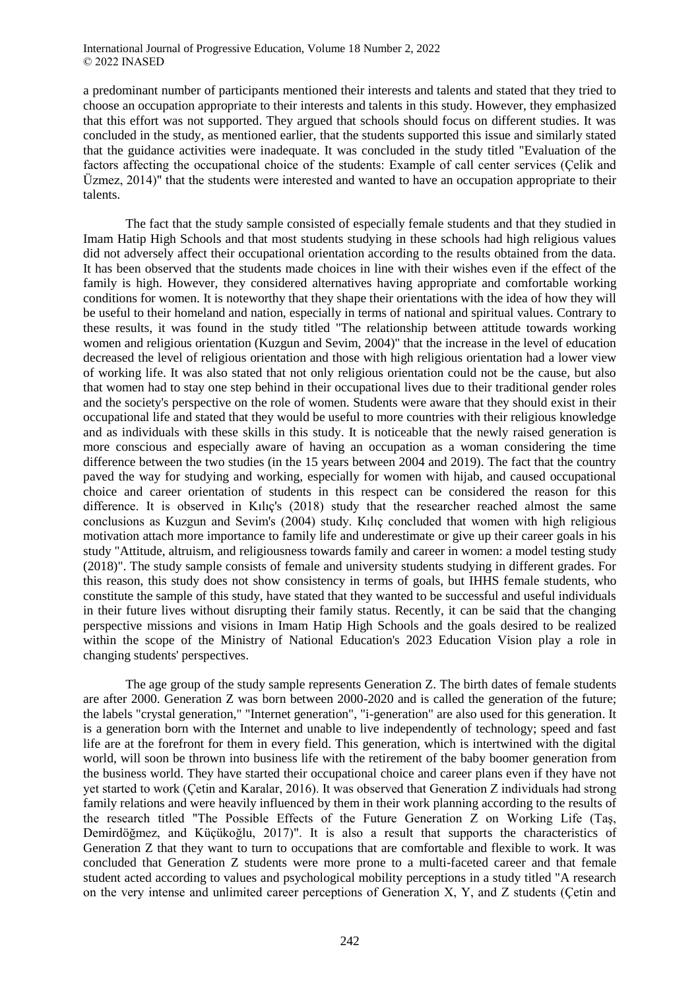a predominant number of participants mentioned their interests and talents and stated that they tried to choose an occupation appropriate to their interests and talents in this study. However, they emphasized that this effort was not supported. They argued that schools should focus on different studies. It was concluded in the study, as mentioned earlier, that the students supported this issue and similarly stated that the guidance activities were inadequate. It was concluded in the study titled "Evaluation of the factors affecting the occupational choice of the students: Example of call center services (Çelik and Üzmez, 2014)" that the students were interested and wanted to have an occupation appropriate to their talents.

The fact that the study sample consisted of especially female students and that they studied in Imam Hatip High Schools and that most students studying in these schools had high religious values did not adversely affect their occupational orientation according to the results obtained from the data. It has been observed that the students made choices in line with their wishes even if the effect of the family is high. However, they considered alternatives having appropriate and comfortable working conditions for women. It is noteworthy that they shape their orientations with the idea of how they will be useful to their homeland and nation, especially in terms of national and spiritual values. Contrary to these results, it was found in the study titled "The relationship between attitude towards working women and religious orientation (Kuzgun and Sevim, 2004)" that the increase in the level of education decreased the level of religious orientation and those with high religious orientation had a lower view of working life. It was also stated that not only religious orientation could not be the cause, but also that women had to stay one step behind in their occupational lives due to their traditional gender roles and the society's perspective on the role of women. Students were aware that they should exist in their occupational life and stated that they would be useful to more countries with their religious knowledge and as individuals with these skills in this study. It is noticeable that the newly raised generation is more conscious and especially aware of having an occupation as a woman considering the time difference between the two studies (in the 15 years between 2004 and 2019). The fact that the country paved the way for studying and working, especially for women with hijab, and caused occupational choice and career orientation of students in this respect can be considered the reason for this difference. It is observed in Kılıç's (2018) study that the researcher reached almost the same conclusions as Kuzgun and Sevim's (2004) study. Kılıç concluded that women with high religious motivation attach more importance to family life and underestimate or give up their career goals in his study "Attitude, altruism, and religiousness towards family and career in women: a model testing study (2018)". The study sample consists of female and university students studying in different grades. For this reason, this study does not show consistency in terms of goals, but IHHS female students, who constitute the sample of this study, have stated that they wanted to be successful and useful individuals in their future lives without disrupting their family status. Recently, it can be said that the changing perspective missions and visions in Imam Hatip High Schools and the goals desired to be realized within the scope of the Ministry of National Education's 2023 Education Vision play a role in changing students' perspectives.

The age group of the study sample represents Generation Z. The birth dates of female students are after 2000. Generation Z was born between 2000-2020 and is called the generation of the future; the labels "crystal generation," "Internet generation", "i-generation" are also used for this generation. It is a generation born with the Internet and unable to live independently of technology; speed and fast life are at the forefront for them in every field. This generation, which is intertwined with the digital world, will soon be thrown into business life with the retirement of the baby boomer generation from the business world. They have started their occupational choice and career plans even if they have not yet started to work (Çetin and Karalar, 2016). It was observed that Generation Z individuals had strong family relations and were heavily influenced by them in their work planning according to the results of the research titled "The Possible Effects of the Future Generation Z on Working Life (Taş, Demirdöğmez, and Küçükoğlu, 2017)". It is also a result that supports the characteristics of Generation Z that they want to turn to occupations that are comfortable and flexible to work. It was concluded that Generation Z students were more prone to a multi-faceted career and that female student acted according to values and psychological mobility perceptions in a study titled "A research on the very intense and unlimited career perceptions of Generation  $X$ ,  $Y$ , and  $Z$  students (Cetin and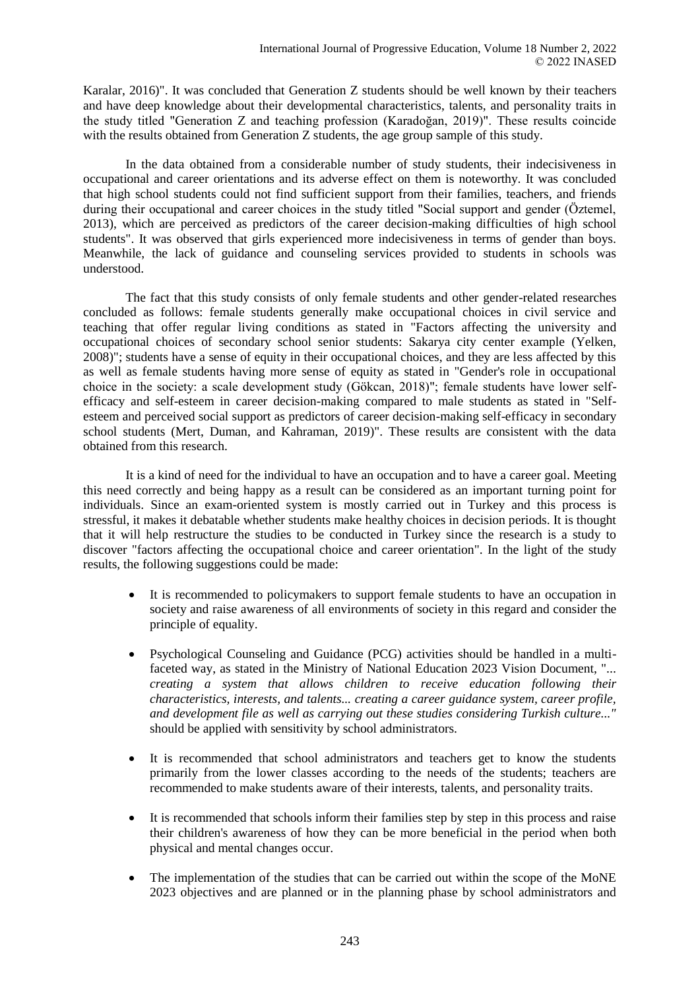Karalar, 2016)". It was concluded that Generation Z students should be well known by their teachers and have deep knowledge about their developmental characteristics, talents, and personality traits in the study titled "Generation Z and teaching profession (Karadoğan, 2019)". These results coincide with the results obtained from Generation Z students, the age group sample of this study.

In the data obtained from a considerable number of study students, their indecisiveness in occupational and career orientations and its adverse effect on them is noteworthy. It was concluded that high school students could not find sufficient support from their families, teachers, and friends during their occupational and career choices in the study titled "Social support and gender (Öztemel, 2013), which are perceived as predictors of the career decision-making difficulties of high school students". It was observed that girls experienced more indecisiveness in terms of gender than boys. Meanwhile, the lack of guidance and counseling services provided to students in schools was understood.

The fact that this study consists of only female students and other gender-related researches concluded as follows: female students generally make occupational choices in civil service and teaching that offer regular living conditions as stated in "Factors affecting the university and occupational choices of secondary school senior students: Sakarya city center example (Yelken, 2008)"; students have a sense of equity in their occupational choices, and they are less affected by this as well as female students having more sense of equity as stated in "Gender's role in occupational choice in the society: a scale development study (Gökcan, 2018)"; female students have lower selfefficacy and self-esteem in career decision-making compared to male students as stated in "Selfesteem and perceived social support as predictors of career decision-making self-efficacy in secondary school students (Mert, Duman, and Kahraman, 2019)". These results are consistent with the data obtained from this research.

It is a kind of need for the individual to have an occupation and to have a career goal. Meeting this need correctly and being happy as a result can be considered as an important turning point for individuals. Since an exam-oriented system is mostly carried out in Turkey and this process is stressful, it makes it debatable whether students make healthy choices in decision periods. It is thought that it will help restructure the studies to be conducted in Turkey since the research is a study to discover "factors affecting the occupational choice and career orientation". In the light of the study results, the following suggestions could be made:

- It is recommended to policymakers to support female students to have an occupation in society and raise awareness of all environments of society in this regard and consider the principle of equality.
- Psychological Counseling and Guidance (PCG) activities should be handled in a multifaceted way, as stated in the Ministry of National Education 2023 Vision Document, "... *creating a system that allows children to receive education following their characteristics, interests, and talents... creating a career guidance system, career profile, and development file as well as carrying out these studies considering Turkish culture..."* should be applied with sensitivity by school administrators.
- It is recommended that school administrators and teachers get to know the students primarily from the lower classes according to the needs of the students; teachers are recommended to make students aware of their interests, talents, and personality traits.
- It is recommended that schools inform their families step by step in this process and raise their children's awareness of how they can be more beneficial in the period when both physical and mental changes occur.
- The implementation of the studies that can be carried out within the scope of the MoNE 2023 objectives and are planned or in the planning phase by school administrators and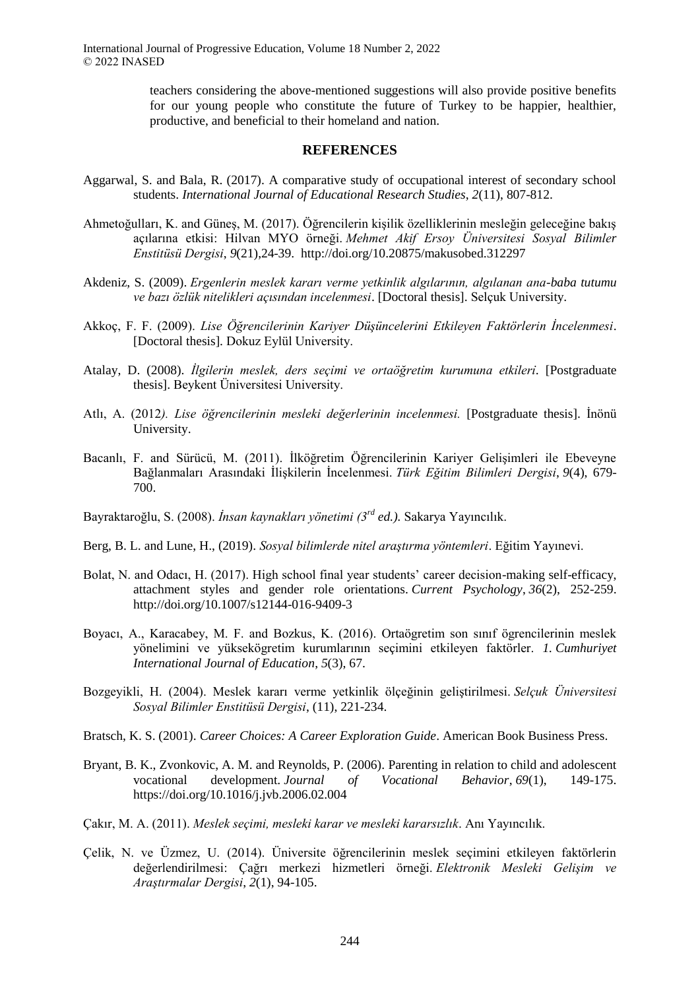teachers considering the above-mentioned suggestions will also provide positive benefits for our young people who constitute the future of Turkey to be happier, healthier, productive, and beneficial to their homeland and nation.

#### **REFERENCES**

- Aggarwal, S. and Bala, R. (2017). A comparative study of occupational interest of secondary school students. *International Journal of Educational Research Studies*, *2*(11), 807-812.
- Ahmetoğulları, K. and Güneş, M. (2017). Öğrencilerin kişilik özelliklerinin mesleğin geleceğine bakış açılarına etkisi: Hilvan MYO örneği. *Mehmet Akif Ersoy Üniversitesi Sosyal Bilimler Enstitüsü Dergisi*, *9*(21),24-39. http://doi.org/10.20875/makusobed.312297
- Akdeniz, S. (2009). *Ergenlerin meslek kararı verme yetkinlik algılarının, algılanan ana-baba tutumu ve bazı özlük nitelikleri açısından incelenmesi*. [Doctoral thesis]. Selçuk University.
- Akkoç, F. F. (2009). *Lise Öğrencilerinin Kariyer Düşüncelerini Etkileyen Faktörlerin İncelenmesi*. [Doctoral thesis]. Dokuz Eylül University.
- Atalay, D. (2008). *İlgilerin meslek, ders seçimi ve ortaöğretim kurumuna etkileri*. [Postgraduate thesis]. Beykent Üniversitesi University.
- Atlı, A. (2012*). Lise öğrencilerinin mesleki değerlerinin incelenmesi.* [Postgraduate thesis]. İnönü University.
- Bacanlı, F. and Sürücü, M. (2011). İlköğretim Öğrencilerinin Kariyer Gelişimleri ile Ebeveyne Bağlanmaları Arasındaki İlişkilerin İncelenmesi. *Türk Eğitim Bilimleri Dergisi*, *9*(4), 679- 700.
- Bayraktaroğlu, S. (2008). *İnsan kaynakları yönetimi (3rd ed.).* Sakarya Yayıncılık.
- Berg, B. L. and Lune, H., (2019). *Sosyal bilimlerde nitel araştırma yöntemleri*. Eğitim Yayınevi.
- Bolat, N. and Odacı, H. (2017). High school final year students' career decision-making self-efficacy, attachment styles and gender role orientations. *Current Psychology*, *36*(2), 252-259. http://doi.org/10.1007/s12144-016-9409-3
- Boyacı, A., Karacabey, M. F. and Bozkus, K. (2016). Ortaögretim son sınıf ögrencilerinin meslek yönelimini ve yüksekögretim kurumlarının seçimini etkileyen faktörler. *1. Cumhuriyet International Journal of Education*, *5*(3), 67.
- Bozgeyikli, H. (2004). Meslek kararı verme yetkinlik ölçeğinin geliştirilmesi. *Selçuk Üniversitesi Sosyal Bilimler Enstitüsü Dergisi*, (11), 221-234.
- Bratsch, K. S. (2001). *Career Choices: A Career Exploration Guide*. American Book Business Press.
- Bryant, B. K., Zvonkovic, A. M. and Reynolds, P. (2006). Parenting in relation to child and adolescent vocational development. *Journal of Vocational Behavior*, *69*(1), 149-175. https://doi.org/10.1016/j.jvb.2006.02.004
- Çakır, M. A. (2011). *Meslek seçimi, mesleki karar ve mesleki kararsızlık*. Anı Yayıncılık.
- Çelik, N. ve Üzmez, U. (2014). Üniversite öğrencilerinin meslek seçimini etkileyen faktörlerin değerlendirilmesi: Çağrı merkezi hizmetleri örneği. *Elektronik Mesleki Gelişim ve Araştırmalar Dergisi*, *2*(1), 94-105.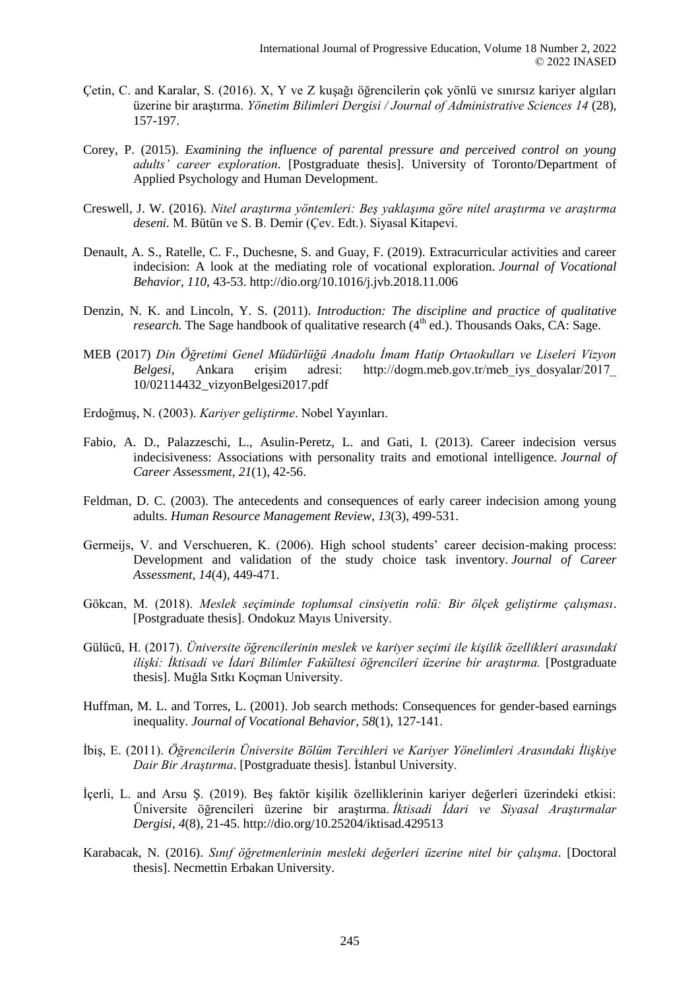- Çetin, C. and Karalar, S. (2016). X, Y ve Z kuşağı öğrencilerin çok yönlü ve sınırsız kariyer algıları üzerine bir araştırma. *Yönetim Bilimleri Dergisi / Journal of Administrative Sciences 14* (28), 157-197.
- Corey, P. (2015). *Examining the influence of parental pressure and perceived control on young adults' career exploration*. [Postgraduate thesis]. University of Toronto/Department of Applied Psychology and Human Development.
- Creswell, J. W. (2016). *Nitel araştırma yöntemleri: Beş yaklaşıma göre nitel araştırma ve araştırma deseni.* M. Bütün ve S. B. Demir (Çev. Edt.). Siyasal Kitapevi.
- Denault, A. S., Ratelle, C. F., Duchesne, S. and Guay, F. (2019). Extracurricular activities and career indecision: A look at the mediating role of vocational exploration. *Journal of Vocational Behavior*, *110*, 43-53. http://dio.org/10.1016/j.jvb.2018.11.006
- Denzin, N. K. and Lincoln, Y. S. (2011). *Introduction: The discipline and practice of qualitative research*. The Sage handbook of qualitative research  $(4<sup>th</sup>$  ed.). Thousands Oaks, CA: Sage.
- MEB (2017) *Din Öğretimi Genel Müdürlüğü Anadolu İmam Hatip Ortaokulları ve Liseleri Vizyon Belgesi,* Ankara erişim adresi: http://dogm.meb.gov.tr/meb\_iys\_dosyalar/2017\_ 10/02114432\_vizyonBelgesi2017.pdf
- Erdoğmuş, N. (2003). *Kariyer geliştirme*. Nobel Yayınları.
- Fabio, A. D., Palazzeschi, L., Asulin-Peretz, L. and Gati, I. (2013). Career indecision versus indecisiveness: Associations with personality traits and emotional intelligence. *Journal of Career Assessment*, *21*(1), 42-56.
- Feldman, D. C. (2003). The antecedents and consequences of early career indecision among young adults. *Human Resource Management Review*, *13*(3), 499-531.
- Germeijs, V. and Verschueren, K. (2006). High school students' career decision-making process: Development and validation of the study choice task inventory. *Journal of Career Assessment*, *14*(4), 449-471.
- Gökcan, M. (2018). *Meslek seçiminde toplumsal cinsiyetin rolü: Bir ölçek geliştirme çalışması*. [Postgraduate thesis]. Ondokuz Mayıs University.
- Gülücü, H. (2017). *Ünı versı te öğrencı lerı nı n meslek ve karı yer seçı mı ı le kı şı lı k özellı klerı arasındakı ı lı şkı : İktı sadı ve İdarı Bı lı mler Fakültesı öğrencı lerı üzerı ne bı r araştırma.* [Postgraduate thesis]. Muğla Sıtkı Koçman University.
- Huffman, M. L. and Torres, L. (2001). Job search methods: Consequences for gender-based earnings inequality. *Journal of Vocational Behavior*, *58*(1), 127-141.
- İbiş, E. (2011). *Öğrencilerin Üniversite Bölüm Tercihleri ve Kariyer Yönelimleri Arasındaki İlişkiye Dair Bir Araştırma*. [Postgraduate thesis]. İstanbul University.
- İçerli, L. and Arsu Ş. (2019). Beş faktör kişilik özelliklerinin kariyer değerleri üzerindeki etkisi: Üniversite öğrencileri üzerine bir araştırma. *İktisadi İdari ve Siyasal Araştırmalar Dergisi*, *4*(8), 21-45. http://dio.org/10.25204/iktisad.429513
- Karabacak, N. (2016). *Sınıf öğretmenlerinin mesleki değerleri üzerine nitel bir çalışma*. [Doctoral thesis]. Necmettin Erbakan University.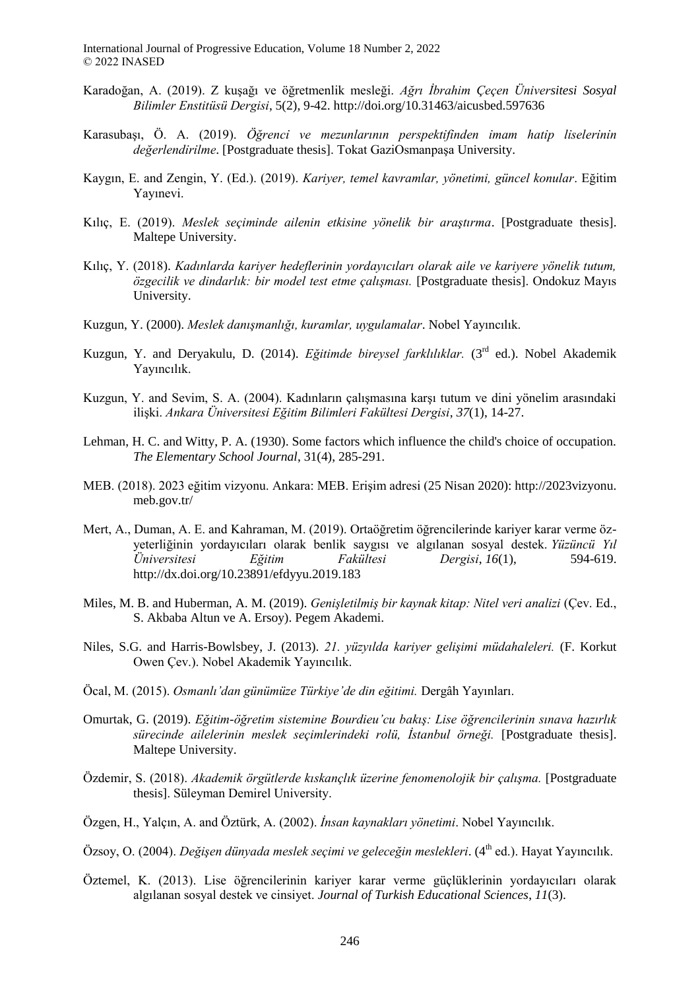- Karadoğan, A. (2019). Z kuşağı ve öğretmenlik mesleği. *Ağrı İbrahim Çeçen Üniversitesi Sosyal Bilimler Enstitüsü Dergisi*, 5(2), 9-42. http://doi.org/10.31463/aicusbed.597636
- Karasubaşı, Ö. A. (2019). *Öğrenci ve mezunlarının perspektifinden imam hatip liselerinin değerlendı rı lme*. [Postgraduate thesis]. Tokat GaziOsmanpaşa University.
- Kaygın, E. and Zengin, Y. (Ed.). (2019). *Kariyer, temel kavramlar, yönetimi, güncel konular*. Eğitim Yayınevi.
- Kılıç, E. (2019). *Meslek seçiminde ailenin etkisine yönelik bir araştırma*. [Postgraduate thesis]. Maltepe University.
- Kılıç, Y. (2018). *Kadınlarda kariyer hedeflerinin yordayıcıları olarak aile ve kariyere yönelik tutum, özgecilik ve dindarlık: bir model test etme çalışması.* [Postgraduate thesis]. Ondokuz Mayıs University.
- Kuzgun, Y. (2000). *Meslek danışmanlığı, kuramlar, uygulamalar*. Nobel Yayıncılık.
- Kuzgun, Y. and Deryakulu, D. (2014). *Eğitimde bireysel farklılıklar.* (3rd ed.). Nobel Akademik Yayıncılık.
- Kuzgun, Y. and Sevim, S. A. (2004). Kadınların çalışmasına karşı tutum ve dini yönelim arasındaki ilişki. *Ankara Üniversitesi Eğitim Bilimleri Fakültesi Dergisi*, *37*(1), 14-27.
- Lehman, H. C. and Witty, P. A. (1930). Some factors which influence the child's choice of occupation. *The Elementary School Journal*, 31(4), 285-291.
- MEB. (2018). 2023 eğitim vizyonu. Ankara: MEB. Erişim adresi (25 Nisan 2020): http://2023vizyonu. meb.gov.tr/
- Mert, A., Duman, A. E. and Kahraman, M. (2019). Ortaöğretim öğrencilerinde kariyer karar verme özyeterliğinin yordayıcıları olarak benlik saygısı ve algılanan sosyal destek. *Yüzüncü Yıl Üniversitesi Eğitim Fakültesi Dergisi*, *16*(1), 594-619. http://dx.doi.org/10.23891/efdyyu.2019.183
- Miles, M. B. and Huberman, A. M. (2019). *Genişletilmiş bir kaynak kitap: Nitel veri analizi* (Çev. Ed., S. Akbaba Altun ve A. Ersoy). Pegem Akademi.
- Niles, S.G. and Harris-Bowlsbey, J. (2013). *21. yüzyılda kariyer gelişimi müdahaleleri.* (F. Korkut Owen Çev.). Nobel Akademik Yayıncılık.
- Öcal, M. (2015). *Osmanlı'dan günümüze Türkiye'de din eğitimi.* Dergâh Yayınları.
- Omurtak, G. (2019). *Eğitim-öğretim sistemine Bourdieu'cu bakış: Lise öğrencilerinin sınava hazırlık sürecinde ailelerinin meslek seçimlerindeki rolü, İstanbul örneği.* [Postgraduate thesis]. Maltepe University.
- Özdemir, S. (2018). *Akademik örgütlerde kıskançlık üzerine fenomenolojik bir çalışma.* [Postgraduate thesis]. Süleyman Demirel University.
- Özgen, H., Yalçın, A. and Öztürk, A. (2002). *İnsan kaynakları yönetimi*. Nobel Yayıncılık.
- Özsoy, O. (2004). *Değişen dünyada meslek seçimi ve geleceğin meslekleri*. (4th ed.). Hayat Yayıncılık.
- Öztemel, K. (2013). Lise öğrencilerinin kariyer karar verme güçlüklerinin yordayıcıları olarak algılanan sosyal destek ve cinsiyet. *Journal of Turkish Educational Sciences*, *11*(3).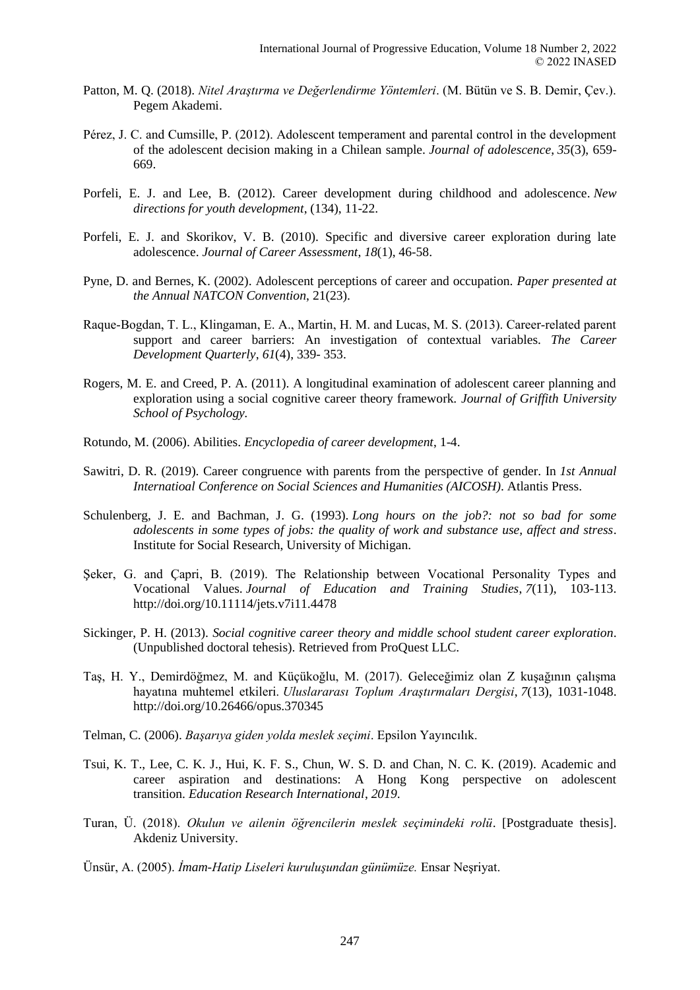- Patton, M. Q. (2018). *Nitel Araştırma ve Değerlendirme Yöntemleri*. (M. Bütün ve S. B. Demir, Çev.). Pegem Akademi.
- Pérez, J. C. and Cumsille, P. (2012). Adolescent temperament and parental control in the development of the adolescent decision making in a Chilean sample. *Journal of adolescence*, *35*(3), 659- 669.
- Porfeli, E. J. and Lee, B. (2012). Career development during childhood and adolescence. *New directions for youth development*, (134), 11-22.
- Porfeli, E. J. and Skorikov, V. B. (2010). Specific and diversive career exploration during late adolescence. *Journal of Career Assessment*, *18*(1), 46-58.
- Pyne, D. and Bernes, K. (2002). Adolescent perceptions of career and occupation. *Paper presented at the Annual NATCON Convention*, 21(23).
- Raque-Bogdan, T. L., Klingaman, E. A., Martin, H. M. and Lucas, M. S. (2013). Career-related parent support and career barriers: An investigation of contextual variables. *The Career Development Quarterly*, *61*(4), 339- 353.
- Rogers, M. E. and Creed, P. A. (2011). A longitudinal examination of adolescent career planning and exploration using a social cognitive career theory framework. *Journal of Griffith University School of Psychology.*
- Rotundo, M. (2006). Abilities. *Encyclopedia of career development*, 1-4.
- Sawitri, D. R. (2019). Career congruence with parents from the perspective of gender. In *1st Annual Internatioal Conference on Social Sciences and Humanities (AICOSH)*. Atlantis Press.
- Schulenberg, J. E. and Bachman, J. G. (1993). *Long hours on the job?: not so bad for some adolescents in some types of jobs: the quality of work and substance use, affect and stress*. Institute for Social Research, University of Michigan.
- Seker, G. and Capri, B. (2019). The Relationship between Vocational Personality Types and Vocational Values. *Journal of Education and Training Studies*, *7*(11), 103-113. http://doi.org/10.11114/jets.v7i11.4478
- Sickinger, P. H. (2013). *Social cognitive career theory and middle school student career exploration*. (Unpublished doctoral tehesis). Retrieved from ProQuest LLC.
- Taş, H. Y., Demirdöğmez, M. and Küçükoğlu, M. (2017). Geleceğimiz olan Z kuşağının çalışma hayatına muhtemel etkileri. *Uluslararası Toplum Araştırmaları Dergisi*, *7*(13), 1031-1048. http://doi.org/10.26466/opus.370345
- Telman, C. (2006). *Başarıya giden yolda meslek seçimi*. Epsilon Yayıncılık.
- Tsui, K. T., Lee, C. K. J., Hui, K. F. S., Chun, W. S. D. and Chan, N. C. K. (2019). Academic and career aspiration and destinations: A Hong Kong perspective on adolescent transition. *Education Research International*, *2019*.
- Turan, Ü. (2018). *Okulun ve ailenin öğrencilerin meslek seçimindeki rolü*. [Postgraduate thesis]. Akdeniz University.
- Ünsür, A. (2005). *İmam-Hatip Liseleri kuruluşundan günümüze.* Ensar Neşriyat.